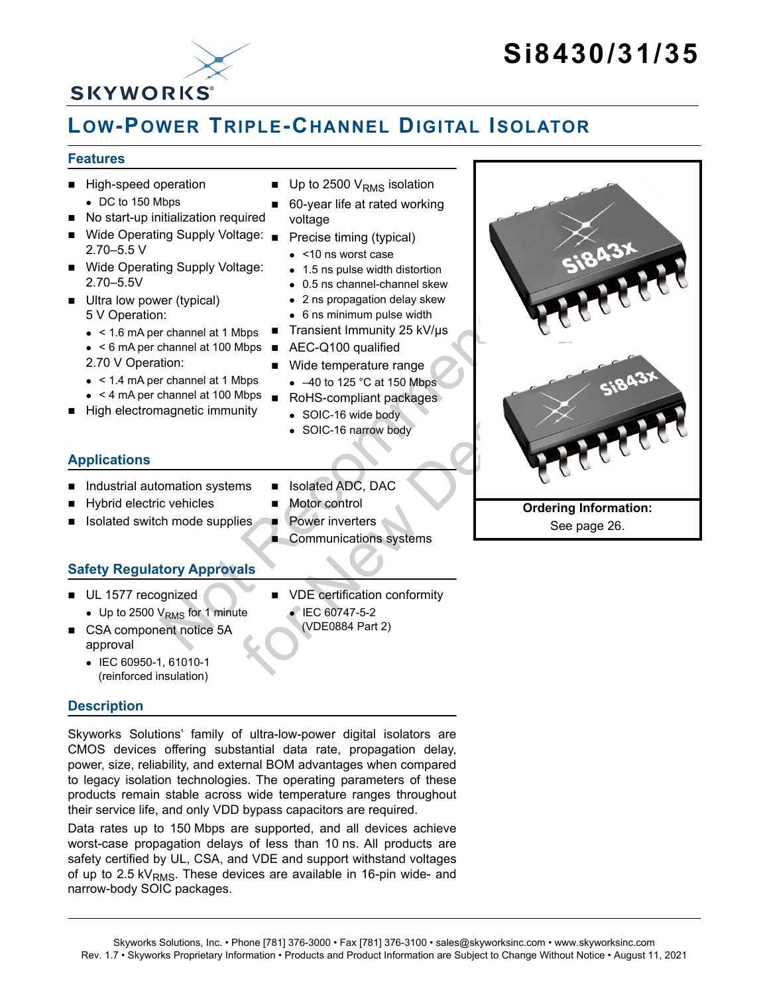# **Si8430/31/35**



## **LOW-POWER TRIPLE-CHANNEL DIGITAL ISOLATOR**

#### <span id="page-0-0"></span>**Features**

- **High-speed operation** DC to 150 Mbps
- No start-up initialization required
- Wide Operating Supply Voltage: Precise timing (typical) 2.70–5.5 V
- Wide Operating Supply Voltage: 2.70–5.5V
- Ultra low power (typical) 5 V Operation:
	- < 1.6 mA per channel at 1 Mbps
	- $\bullet$  < 6 mA per channel at 100 Mbps  $\blacksquare$
	- 2.70 V Operation:
	- $\bullet$  < 1.4 mA per channel at 1 Mbps
	- $\bullet$  < 4 mA per channel at 100 Mbps  $\blacksquare$
- High electromagnetic immunity

#### **Applications**

- Industrial automation systems
- Hybrid electric vehicles
- Isolated switch mode supplies
- **Safety Regulatory Approvals**
- UL 1577 recognized
	- $\bullet$  Up to 2500 V<sub>RMS</sub> for 1 minute
- CSA component notice 5A approval
	- IEC 60950-1, 61010-1 (reinforced insulation)

#### **Description**

Skyworks Solutions' family of ultra-low-power digital isolators are CMOS devices offering substantial data rate, propagation delay, power, size, reliability, and external BOM advantages when compared to legacy isolation technologies. The operating parameters of these products remain stable across wide temperature ranges throughout their service life, and only VDD bypass capacitors are required.

Data rates up to 150 Mbps are supported, and all devices achieve worst-case propagation delays of less than 10 ns. All products are safety certified by UL, CSA, and VDE and support withstand voltages of up to 2.5 kV<sub>RMS</sub>. These devices are available in 16-pin wide- and narrow-body SOIC packages.

- $\blacksquare$  Up to 2500 V<sub>RMS</sub> isolation
- 60-year life at rated working voltage
- 
- <10 ns worst case
- 1.5 ns pulse width distortion
- 0.5 ns channel-channel skew
- 2 ns propagation delay skew
- 6 ns minimum pulse width
- Transient Immunity 25 kV/µs
- AEC-Q100 qualified
- Wide temperature range
	- $-40$  to 125 °C at 150 Mbps
- RoHS-compliant packages
	- SOIC-16 wide body
	- SOIC-16 narrow body
- Isolated ADC, DAC
- 
- Power inverters
- Communications systems



Skyworks Solutions, Inc. • Phone [781] 376-3000 • Fax [781] 376-3100 • sales@skyworksinc.com • www.skyworksinc.com Rev. 1.7 • Skyworks Proprietary Information • Products and Product Information are Subject to Change Without Notice • August 11, 2021

- 
- Motor control
- 
- 
- - VDE certification conformity
		- IEC 60747-5-2 (VDE0884 Part 2)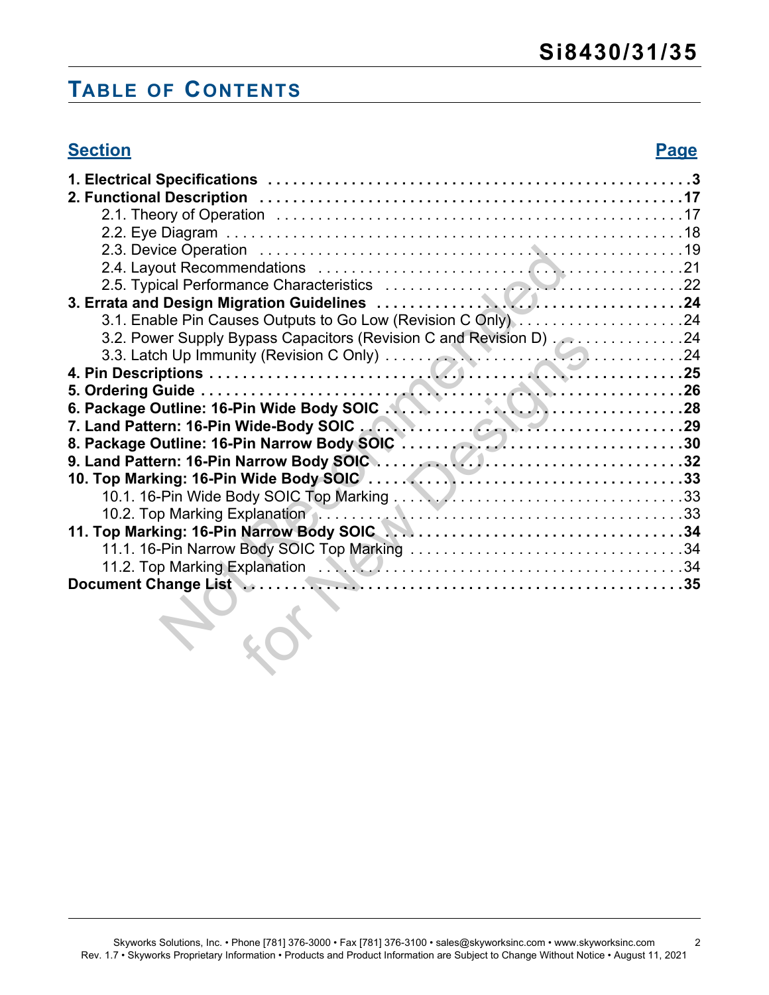# **TABLE OF CONTENTS**

| <b>Section</b>                                                                                                                                                              | <b>Page</b> |
|-----------------------------------------------------------------------------------------------------------------------------------------------------------------------------|-------------|
|                                                                                                                                                                             |             |
|                                                                                                                                                                             |             |
|                                                                                                                                                                             |             |
|                                                                                                                                                                             |             |
|                                                                                                                                                                             |             |
|                                                                                                                                                                             |             |
|                                                                                                                                                                             |             |
|                                                                                                                                                                             |             |
| 3.1. Enable Pin Causes Outputs to Go Low (Revision C Only) 24                                                                                                               |             |
| 3.2. Power Supply Bypass Capacitors (Revision C and Revision D) . 2. 24                                                                                                     |             |
|                                                                                                                                                                             |             |
|                                                                                                                                                                             |             |
|                                                                                                                                                                             |             |
| 3.3. Latch Up Immunity (Revision C Only)<br>4. Pin Descriptions<br>5. Ordering Guide<br>6. Package Outline: 16-Pin Wide Body SOIC<br>7. Land Detterm: 46 Din Wide Body SOIC |             |
|                                                                                                                                                                             |             |
|                                                                                                                                                                             |             |
|                                                                                                                                                                             |             |
|                                                                                                                                                                             |             |
|                                                                                                                                                                             |             |
| 10.2. Top Marking Explanation<br>11. Top Marking: 16-Pin Narrow Body SOIC<br>34.                                                                                            |             |
|                                                                                                                                                                             |             |
|                                                                                                                                                                             |             |
|                                                                                                                                                                             |             |
| Document Change List National Communications of the United States of the United States Document Change List                                                                 |             |
|                                                                                                                                                                             |             |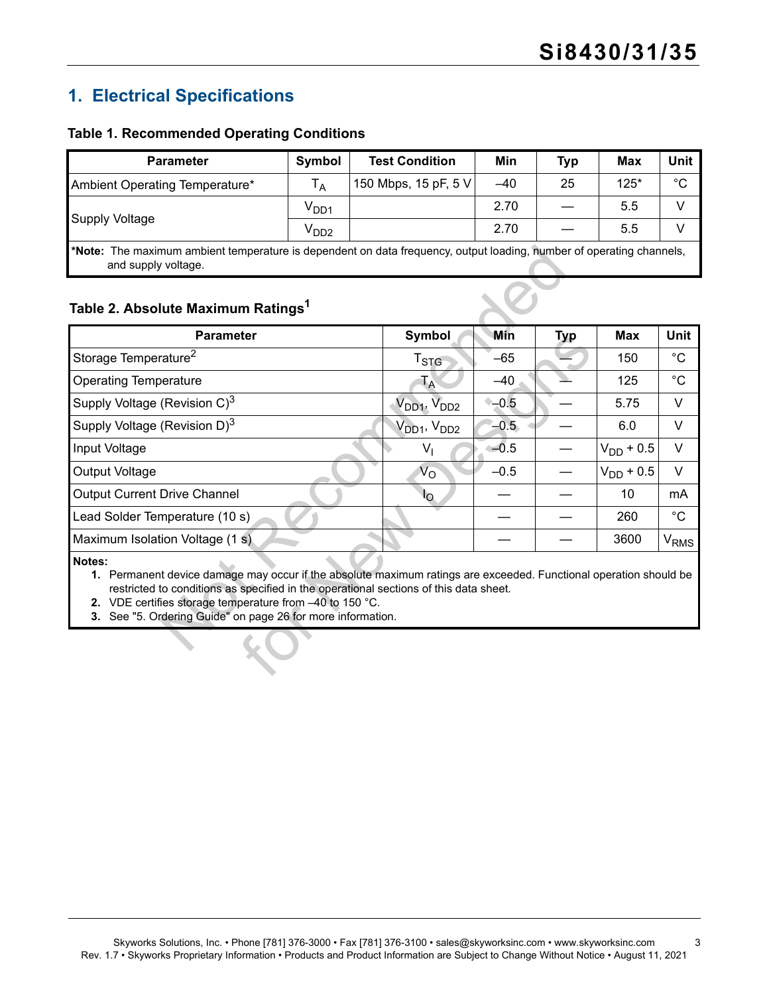## <span id="page-2-0"></span>**1. Electrical Specifications**

#### <span id="page-2-4"></span>**Table 1. Recommended Operating Conditions**

| <b>Parameter</b>                                                                                                                            | Symbol           | <b>Test Condition</b> | Min   | <b>Typ</b> | Max    | Unit        |
|---------------------------------------------------------------------------------------------------------------------------------------------|------------------|-----------------------|-------|------------|--------|-------------|
| Ambient Operating Temperature*                                                                                                              | $T_A$            | 150 Mbps, 15 pF, 5 V  | $-40$ | 25         | $125*$ | $^{\circ}C$ |
| <b>Supply Voltage</b>                                                                                                                       | V <sub>DD1</sub> |                       | 2.70  |            | 5.5    |             |
|                                                                                                                                             | $V_{DD2}$        |                       | 2.70  |            | 5.5    |             |
| *Note: The maximum ambient temperature is dependent on data frequency, output loading, number of operating channels,<br>and supply voltage. |                  |                       |       |            |        |             |

## <span id="page-2-5"></span><span id="page-2-3"></span><span id="page-2-2"></span><span id="page-2-1"></span>**Table 2. Absolute Maximum Ratings1**

| Table 2. Absolute Maximum Ratings <sup>1</sup><br><b>Parameter</b>                                                                                                                                                                                                                                                                              | Symbol                              | Min    | <b>Typ</b> | <b>Max</b>     | <b>Unit</b>            |
|-------------------------------------------------------------------------------------------------------------------------------------------------------------------------------------------------------------------------------------------------------------------------------------------------------------------------------------------------|-------------------------------------|--------|------------|----------------|------------------------|
| Storage Temperature <sup>2</sup>                                                                                                                                                                                                                                                                                                                | T <sub>STG</sub>                    | $-65$  |            | 150            | $^{\circ}C$            |
| <b>Operating Temperature</b>                                                                                                                                                                                                                                                                                                                    | Ta                                  | $-40$  |            | 125            | $^{\circ}$ C           |
| Supply Voltage (Revision C) <sup>3</sup>                                                                                                                                                                                                                                                                                                        | V <sub>DD1</sub> , V <sub>DD2</sub> | $-0.5$ |            | 5.75           | V                      |
| Supply Voltage (Revision D) <sup>3</sup>                                                                                                                                                                                                                                                                                                        | $V_{DD1}$ , $V_{DD2}$               | $-0.5$ |            | 6.0            | V                      |
| Input Voltage                                                                                                                                                                                                                                                                                                                                   | $V_{1}$                             | $-0.5$ |            | $V_{DD}$ + 0.5 | $\vee$                 |
| Output Voltage                                                                                                                                                                                                                                                                                                                                  | $V_{\rm O}$                         | $-0.5$ |            | $V_{DD}$ + 0.5 | $\vee$                 |
| <b>Output Current Drive Channel</b>                                                                                                                                                                                                                                                                                                             | I <sub>O</sub>                      |        |            | 10             | mA                     |
| Lead Solder Temperature (10 s)                                                                                                                                                                                                                                                                                                                  |                                     |        |            | 260            | $^{\circ}C$            |
| Maximum Isolation Voltage (1 s)                                                                                                                                                                                                                                                                                                                 |                                     |        |            | 3600           | <b>V<sub>RMS</sub></b> |
| Notes:<br>1. Permanent device damage may occur if the absolute maximum ratings are exceeded. Functional operation should be<br>restricted to conditions as specified in the operational sections of this data sheet.<br>2. VDE certifies storage temperature from -40 to 150 °C.<br>3. See "5. Ordering Guide" on page 26 for more information. |                                     |        |            |                |                        |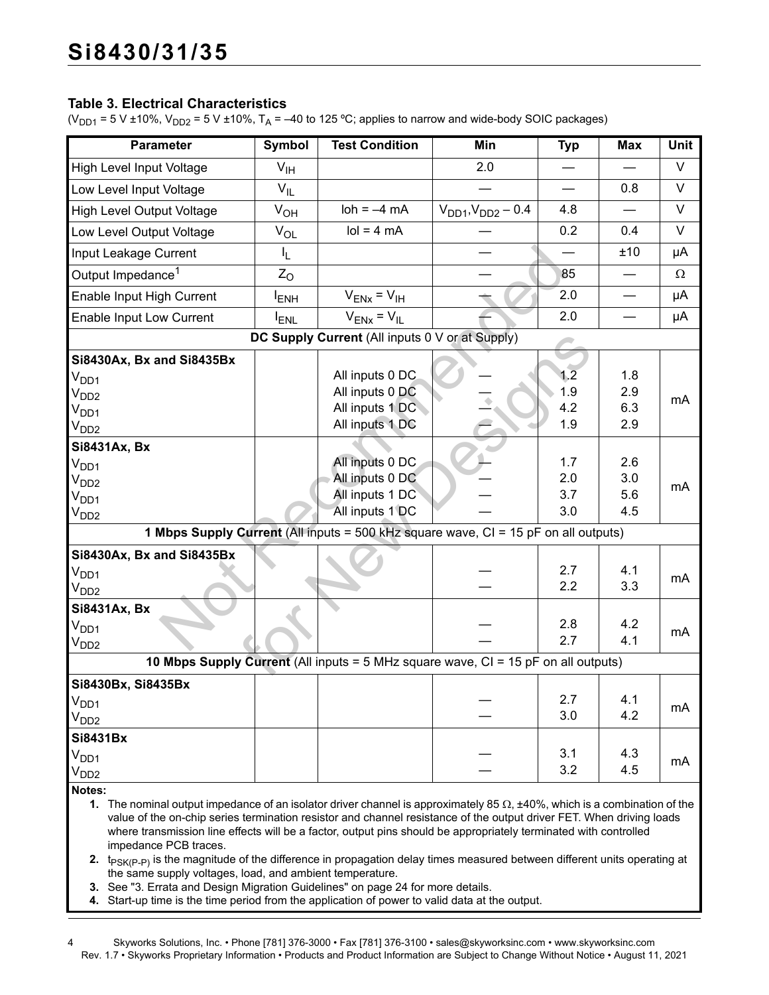#### <span id="page-3-4"></span>**Table 3. Electrical Characteristics**

( $V_{DD1}$  = 5 V ±10%,  $V_{DD2}$  = 5 V ±10%, T<sub>A</sub> = -40 to 125 °C; applies to narrow and wide-body SOIC packages)

| <b>Parameter</b>                                                                                                                                                                                                                                                                                                                                                                                                                                                                                                                                                                                             | Symbol         | <b>Test Condition</b>                                                                         | Min                         | <b>Typ</b>               | <b>Max</b>               | Unit     |
|--------------------------------------------------------------------------------------------------------------------------------------------------------------------------------------------------------------------------------------------------------------------------------------------------------------------------------------------------------------------------------------------------------------------------------------------------------------------------------------------------------------------------------------------------------------------------------------------------------------|----------------|-----------------------------------------------------------------------------------------------|-----------------------------|--------------------------|--------------------------|----------|
| High Level Input Voltage                                                                                                                                                                                                                                                                                                                                                                                                                                                                                                                                                                                     | $V_{IH}$       |                                                                                               | 2.0                         |                          |                          | V        |
| Low Level Input Voltage                                                                                                                                                                                                                                                                                                                                                                                                                                                                                                                                                                                      | $V_{IL}$       |                                                                                               |                             |                          | 0.8                      | V        |
| <b>High Level Output Voltage</b>                                                                                                                                                                                                                                                                                                                                                                                                                                                                                                                                                                             | $V_{OH}$       | $\text{loh} = -4 \text{ mA}$                                                                  | $V_{DD1}$ , $V_{DD2}$ – 0.4 | 4.8                      |                          | V        |
| Low Level Output Voltage                                                                                                                                                                                                                                                                                                                                                                                                                                                                                                                                                                                     | $V_{OL}$       | $\text{Io} = 4 \text{ mA}$                                                                    |                             | 0.2                      | 0.4                      | $\vee$   |
| Input Leakage Current                                                                                                                                                                                                                                                                                                                                                                                                                                                                                                                                                                                        | I <sub>L</sub> |                                                                                               |                             |                          | ±10                      | μA       |
| Output Impedance <sup>1</sup>                                                                                                                                                                                                                                                                                                                                                                                                                                                                                                                                                                                | $Z_{O}$        |                                                                                               |                             | 85                       |                          | $\Omega$ |
| Enable Input High Current                                                                                                                                                                                                                                                                                                                                                                                                                                                                                                                                                                                    | <b>IENH</b>    | $V_{ENX} = V_{IH}$                                                                            |                             | 2.0                      |                          | μA       |
| Enable Input Low Current                                                                                                                                                                                                                                                                                                                                                                                                                                                                                                                                                                                     | <b>ENL</b>     | $V_{ENX} = V_{IL}$                                                                            |                             | 2.0                      |                          | μA       |
|                                                                                                                                                                                                                                                                                                                                                                                                                                                                                                                                                                                                              |                | DC Supply Current (All inputs 0 V or at Supply)                                               |                             |                          |                          |          |
| Si8430Ax, Bx and Si8435Bx<br>$V_{DD1}$                                                                                                                                                                                                                                                                                                                                                                                                                                                                                                                                                                       |                | All inputs 0 DC<br>All inputs 0 DC                                                            |                             | 1.2<br>1.9               | 1.8<br>2.9               |          |
| V <sub>DD2</sub><br>V <sub>DD1</sub><br>$V_{DD2}$                                                                                                                                                                                                                                                                                                                                                                                                                                                                                                                                                            |                | All inputs 1 DC<br>All inputs 1 DC                                                            |                             | 4.2<br>1.9               | 6.3<br>2.9               | mA       |
| Si8431Ax, Bx                                                                                                                                                                                                                                                                                                                                                                                                                                                                                                                                                                                                 |                |                                                                                               |                             |                          |                          |          |
| $\rm V_{DD1}$<br>V <sub>DD2</sub><br>V <sub>DD1</sub><br>$V_{DD2}$                                                                                                                                                                                                                                                                                                                                                                                                                                                                                                                                           |                | All inputs 0 DC<br>All inputs 0 DC<br>All inputs 1 DC<br>All inputs 1 DC                      |                             | 1.7<br>2.0<br>3.7<br>3.0 | 2.6<br>3.0<br>5.6<br>4.5 | mA       |
|                                                                                                                                                                                                                                                                                                                                                                                                                                                                                                                                                                                                              |                | 1 Mbps Supply Current (All inputs = 500 kHz square wave, CI = 15 pF on all outputs)           |                             |                          |                          |          |
| Si8430Ax, Bx and Si8435Bx<br>$V_{DD1}$<br>$V_{DD2}$                                                                                                                                                                                                                                                                                                                                                                                                                                                                                                                                                          |                |                                                                                               |                             | 2.7<br>2.2               | 4.1<br>3.3               | mA       |
| Si8431Ax, Bx<br>$\rm V_{DD1}$<br>V <sub>DD2</sub>                                                                                                                                                                                                                                                                                                                                                                                                                                                                                                                                                            |                |                                                                                               |                             | 2.8<br>2.7               | 4.2<br>4.1               | mA       |
|                                                                                                                                                                                                                                                                                                                                                                                                                                                                                                                                                                                                              |                | <b>10 Mbps Supply Current</b> (All inputs = $5$ MHz square wave, $CI = 15$ pF on all outputs) |                             |                          |                          |          |
| Si8430Bx, Si8435Bx<br>V <sub>DD1</sub><br>V <sub>DD2</sub>                                                                                                                                                                                                                                                                                                                                                                                                                                                                                                                                                   |                |                                                                                               |                             | 2.7<br>3.0               | 4.1<br>4.2               | mA       |
| Si8431Bx<br>V <sub>DD1</sub><br>$V_{DD2}$                                                                                                                                                                                                                                                                                                                                                                                                                                                                                                                                                                    |                |                                                                                               |                             | 3.1<br>3.2               | 4.3<br>4.5               | mA       |
| Notes:<br>1. The nominal output impedance of an isolator driver channel is approximately 85 $\Omega$ , ±40%, which is a combination of the<br>value of the on-chip series termination resistor and channel resistance of the output driver FET. When driving loads<br>where transmission line effects will be a factor, output pins should be appropriately terminated with controlled<br>impedance PCB traces.<br>2. $t_{PSK(P-P)}$ is the magnitude of the difference in propagation delay times measured between different units operating at<br>the same supply voltages, load, and ambient temperature. |                |                                                                                               |                             |                          |                          |          |

- <span id="page-3-3"></span><span id="page-3-1"></span><span id="page-3-0"></span>**3.** See ["3. Errata and Design Migration Guidelines" on page 24](#page-23-0) for more details.
- <span id="page-3-2"></span>**4.** Start-up time is the time period from the application of power to valid data at the output.
- 4 Skyworks Solutions, Inc. Phone [781] 376-3000 Fax [781] 376-3100 sales@skyworksinc.com www.skyworksinc.com Rev. 1.7 • Skyworks Proprietary Information • Products and Product Information are Subject to Change Without Notice • August 11, 2021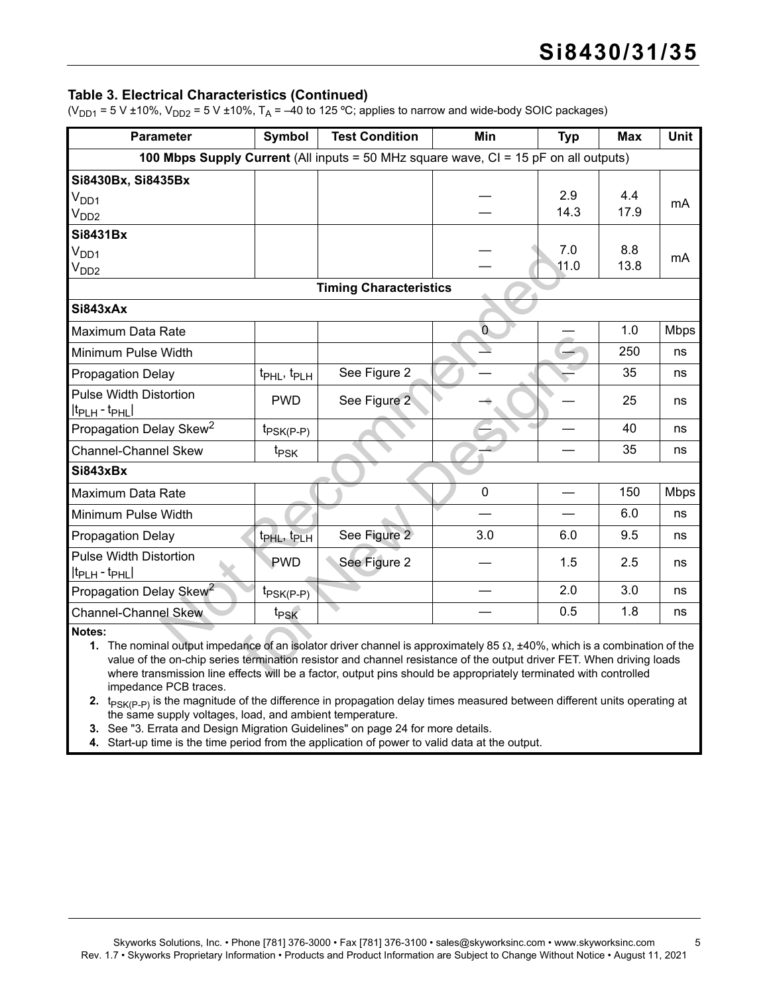#### **Table 3. Electrical Characteristics (Continued)**

( $V_{DD1}$  = 5 V ±10%,  $V_{DD2}$  = 5 V ±10%, T<sub>A</sub> = –40 to 125 °C; applies to narrow and wide-body SOIC packages)

| <b>Parameter</b>                    | Symbol                                                                                                                                                                                                                                                                                                                                                                       | <b>Test Condition</b>                                                                | Min                      | <b>Typ</b>  | <b>Max</b>  | <b>Unit</b> |  |  |  |
|-------------------------------------|------------------------------------------------------------------------------------------------------------------------------------------------------------------------------------------------------------------------------------------------------------------------------------------------------------------------------------------------------------------------------|--------------------------------------------------------------------------------------|--------------------------|-------------|-------------|-------------|--|--|--|
|                                     |                                                                                                                                                                                                                                                                                                                                                                              | 100 Mbps Supply Current (All inputs = 50 MHz square wave, CI = 15 pF on all outputs) |                          |             |             |             |  |  |  |
| Si8430Bx, Si8435Bx                  |                                                                                                                                                                                                                                                                                                                                                                              |                                                                                      |                          |             |             |             |  |  |  |
| V <sub>DD1</sub>                    |                                                                                                                                                                                                                                                                                                                                                                              |                                                                                      |                          | 2.9         | 4.4         | mA          |  |  |  |
| V <sub>DD2</sub>                    |                                                                                                                                                                                                                                                                                                                                                                              |                                                                                      |                          | 14.3        | 17.9        |             |  |  |  |
| <b>Si8431Bx</b>                     |                                                                                                                                                                                                                                                                                                                                                                              |                                                                                      |                          |             |             |             |  |  |  |
| $V_{DD1}$                           |                                                                                                                                                                                                                                                                                                                                                                              |                                                                                      |                          | 7.0<br>11.0 | 8.8<br>13.8 | mA          |  |  |  |
| V <sub>DD2</sub>                    |                                                                                                                                                                                                                                                                                                                                                                              |                                                                                      |                          |             |             |             |  |  |  |
|                                     |                                                                                                                                                                                                                                                                                                                                                                              | <b>Timing Characteristics</b>                                                        |                          |             |             |             |  |  |  |
| Si843xAx                            |                                                                                                                                                                                                                                                                                                                                                                              |                                                                                      |                          |             |             |             |  |  |  |
| Maximum Data Rate                   |                                                                                                                                                                                                                                                                                                                                                                              |                                                                                      | $\overline{0}$           |             | 1.0         | <b>Mbps</b> |  |  |  |
| Minimum Pulse Width                 |                                                                                                                                                                                                                                                                                                                                                                              |                                                                                      | $\overline{\phantom{0}}$ |             | 250         | ns          |  |  |  |
| <b>Propagation Delay</b>            | t <sub>PHL</sub> , t <sub>PLH</sub>                                                                                                                                                                                                                                                                                                                                          | See Figure 2                                                                         |                          |             | 35          | ns          |  |  |  |
| <b>Pulse Width Distortion</b>       | <b>PWD</b>                                                                                                                                                                                                                                                                                                                                                                   | See Figure 2                                                                         |                          |             | 25          | ns          |  |  |  |
| $ t_{\text{PLH}} - t_{\text{PHL}} $ |                                                                                                                                                                                                                                                                                                                                                                              |                                                                                      |                          |             |             |             |  |  |  |
| Propagation Delay Skew <sup>2</sup> | $t_{PSK(P-P)}$                                                                                                                                                                                                                                                                                                                                                               |                                                                                      |                          |             | 40          | ns          |  |  |  |
| <b>Channel-Channel Skew</b>         | t <sub>PSK</sub>                                                                                                                                                                                                                                                                                                                                                             |                                                                                      |                          |             | 35          | ns          |  |  |  |
| Si843xBx                            |                                                                                                                                                                                                                                                                                                                                                                              |                                                                                      |                          |             |             |             |  |  |  |
| Maximum Data Rate                   |                                                                                                                                                                                                                                                                                                                                                                              |                                                                                      | $\mathbf 0$              |             | 150         | <b>Mbps</b> |  |  |  |
| Minimum Pulse Width                 |                                                                                                                                                                                                                                                                                                                                                                              |                                                                                      |                          |             | 6.0         | ns          |  |  |  |
| <b>Propagation Delay</b>            | t <sub>PHL</sub> , t <sub>PLH</sub>                                                                                                                                                                                                                                                                                                                                          | See Figure 2                                                                         | 3.0                      | 6.0         | 9.5         | ns          |  |  |  |
| <b>Pulse Width Distortion</b>       | <b>PWD</b>                                                                                                                                                                                                                                                                                                                                                                   | See Figure 2                                                                         |                          | 1.5         | 2.5         | ns          |  |  |  |
| $ t_{\text{PLH}} - t_{\text{PHL}} $ |                                                                                                                                                                                                                                                                                                                                                                              |                                                                                      |                          |             |             |             |  |  |  |
| Propagation Delay Skew <sup>2</sup> | $t_{PSK(P-P)}$                                                                                                                                                                                                                                                                                                                                                               |                                                                                      |                          | 2.0         | 3.0         | ns          |  |  |  |
| <b>Channel-Channel Skew</b>         | t <sub>PSK</sub>                                                                                                                                                                                                                                                                                                                                                             |                                                                                      |                          | 0.5         | 1.8         | ns          |  |  |  |
| Notes:                              | 1. The nominal output impedance of an isolator driver channel is approximately 85 $\Omega$ , ±40%, which is a combination of the<br>value of the on-chip series termination resistor and channel resistance of the output driver FET. When driving loads<br>where transmission line effects will be a factor, output pins should be appropriately terminated with controlled |                                                                                      |                          |             |             |             |  |  |  |

**1.** The nominal output impedance of an isolator driver channel is approximately 85  $\Omega$ ,  $\pm 40\%$ , which is a combination of the value of the on-chip series termination resistor and channel resistance of the output driver FET. When driving loads where transmission line effects will be a factor, output pins should be appropriately terminated with controlled impedance PCB traces.

**2.** t<sub>PSK(P-P)</sub> is the magnitude of the difference in propagation delay times measured between different units operating at the same supply voltages, load, and ambient temperature.

**3.** See "3. Errata and Design Migration Guidelines" on page 24 for more details.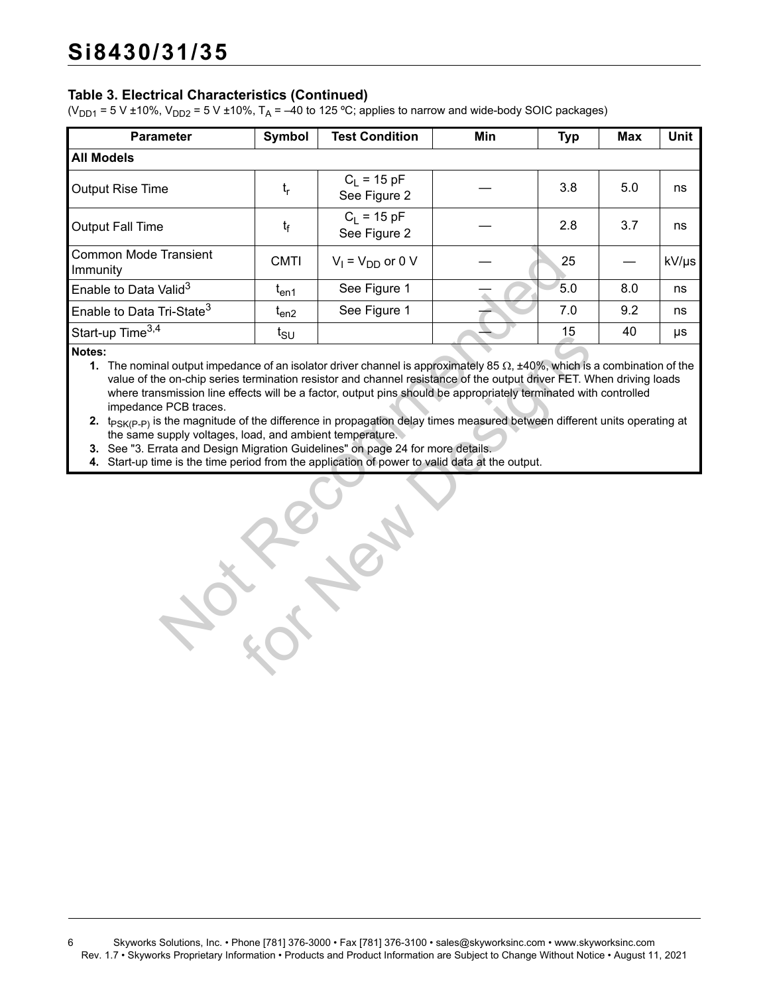### **Table 3. Electrical Characteristics (Continued)**

( $V_{DD1}$  = 5 V ±10%,  $V_{DD2}$  = 5 V ±10%, T<sub>A</sub> = –40 to 125 °C; applies to narrow and wide-body SOIC packages)

| <b>Parameter</b>                                                                                                                                                                                                                                                                                                                                                                                                                                                                                                                                                                                                                                           | <b>Symbol</b>   | <b>Test Condition</b>         | Min | <b>Typ</b> | <b>Max</b> | Unit  |
|------------------------------------------------------------------------------------------------------------------------------------------------------------------------------------------------------------------------------------------------------------------------------------------------------------------------------------------------------------------------------------------------------------------------------------------------------------------------------------------------------------------------------------------------------------------------------------------------------------------------------------------------------------|-----------------|-------------------------------|-----|------------|------------|-------|
| <b>All Models</b>                                                                                                                                                                                                                                                                                                                                                                                                                                                                                                                                                                                                                                          |                 |                               |     |            |            |       |
| <b>Output Rise Time</b>                                                                                                                                                                                                                                                                                                                                                                                                                                                                                                                                                                                                                                    | $t_{r}$         | $C_1 = 15 pF$<br>See Figure 2 |     | 3.8        | 5.0        | ns    |
| <b>Output Fall Time</b>                                                                                                                                                                                                                                                                                                                                                                                                                                                                                                                                                                                                                                    | t <sub>f</sub>  | $C_1 = 15 pF$<br>See Figure 2 |     | 2.8        | 3.7        | ns    |
| <b>Common Mode Transient</b><br>Immunity                                                                                                                                                                                                                                                                                                                                                                                                                                                                                                                                                                                                                   | <b>CMTI</b>     | $V_1 = V_{DD}$ or 0 V         |     | 25         |            | kV/µs |
| Enable to Data Valid <sup>3</sup>                                                                                                                                                                                                                                                                                                                                                                                                                                                                                                                                                                                                                          | $t_{en1}$       | See Figure 1                  |     | 5.0        | 8.0        | ns    |
| Enable to Data Tri-State <sup>3</sup>                                                                                                                                                                                                                                                                                                                                                                                                                                                                                                                                                                                                                      | $t_{en2}$       | See Figure 1                  |     | 7.0        | 9.2        | ns    |
| Start-up Time <sup>3,4</sup>                                                                                                                                                                                                                                                                                                                                                                                                                                                                                                                                                                                                                               | $t_{\text{SU}}$ |                               |     | 15         | 40         | μs    |
| value of the on-chip series termination resistor and channel resistance of the output driver FET. When driving loads<br>where transmission line effects will be a factor, output pins should be appropriately terminated with controlled<br>impedance PCB traces.<br>2. t <sub>PSK(P-P)</sub> is the magnitude of the difference in propagation delay times measured between different units operating at<br>the same supply voltages, load, and ambient temperature.<br>3. See "3. Errata and Design Migration Guidelines" on page 24 for more details.<br>4. Start-up time is the time period from the application of power to valid data at the output. |                 |                               |     |            |            |       |
|                                                                                                                                                                                                                                                                                                                                                                                                                                                                                                                                                                                                                                                            |                 |                               |     |            |            |       |

For American State of an isolator driver channel is approximately 85 Ω, ±40%, which is<br>termination resistor and channel resistance of the output driver FET. We<br>fects will be a factor, output pins should be appropriately t **1.** The nominal output impedance of an isolator driver channel is approximately 85  $\Omega$ ,  $\pm 40\%$ , which is a combination of the value of the on-chip series termination resistor and channel resistance of the output driver FET. When driving loads where transmission line effects will be a factor, output pins should be appropriately terminated with controlled impedance PCB traces.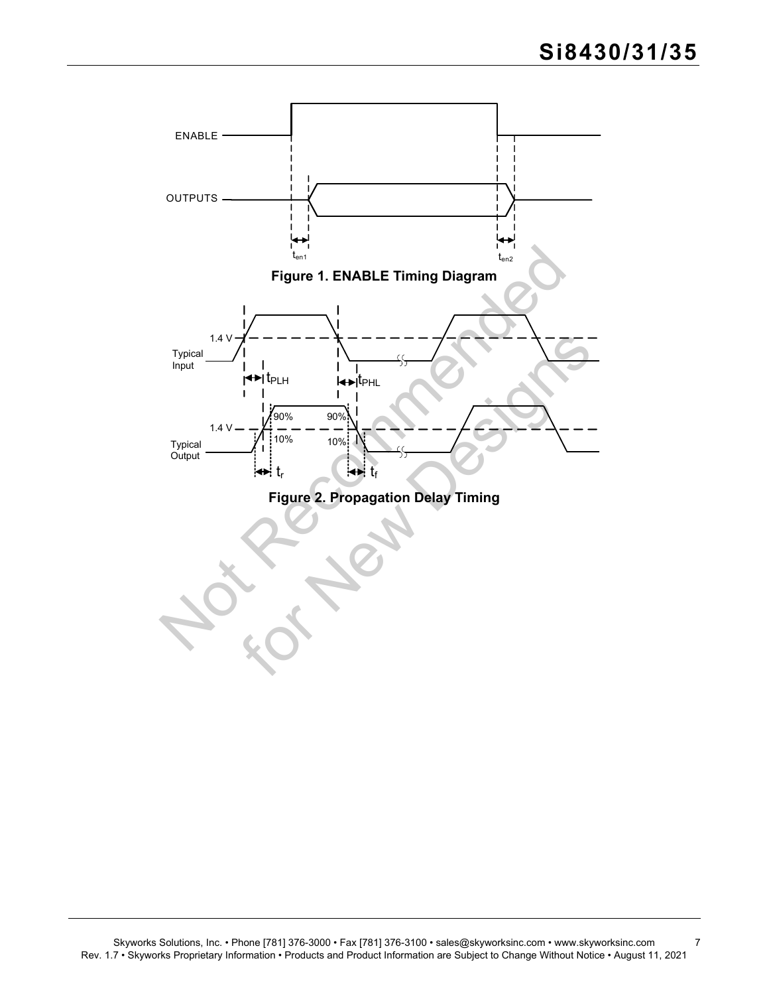<span id="page-6-1"></span><span id="page-6-0"></span>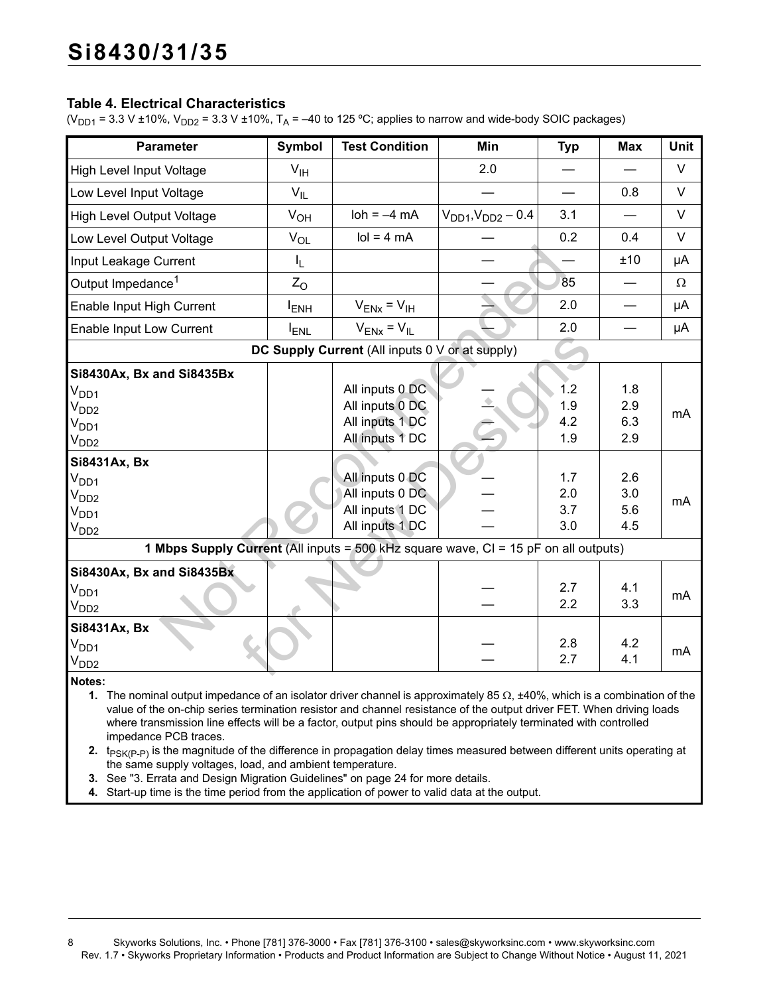#### <span id="page-7-4"></span>**Table 4. Electrical Characteristics**

( $V_{DD1}$  = 3.3 V ±10%,  $V_{DD2}$  = 3.3 V ±10%, T<sub>A</sub> = -40 to 125 °C; applies to narrow and wide-body SOIC packages)

| Parameter                                                                                                                                                                                                                                                                                                                                                                                                    | <b>Symbol</b>           | <b>Test Condition</b>                           | Min                         | <b>Typ</b> | <b>Max</b>               | Unit   |  |
|--------------------------------------------------------------------------------------------------------------------------------------------------------------------------------------------------------------------------------------------------------------------------------------------------------------------------------------------------------------------------------------------------------------|-------------------------|-------------------------------------------------|-----------------------------|------------|--------------------------|--------|--|
| High Level Input Voltage                                                                                                                                                                                                                                                                                                                                                                                     | $V_{\text{IH}}$         |                                                 | 2.0                         |            |                          | $\vee$ |  |
| Low Level Input Voltage                                                                                                                                                                                                                                                                                                                                                                                      | $V_{IL}$                |                                                 |                             |            | 0.8                      | $\vee$ |  |
| High Level Output Voltage                                                                                                                                                                                                                                                                                                                                                                                    | $V_{OH}$                | $\text{loh} = -4 \text{ mA}$                    | $V_{DD1}$ , $V_{DD2}$ – 0.4 | 3.1        |                          | V      |  |
| Low Level Output Voltage                                                                                                                                                                                                                                                                                                                                                                                     | $V_{OL}$                | $\text{Io} = 4 \text{ mA}$                      |                             | 0.2        | 0.4                      | $\vee$ |  |
| Input Leakage Current                                                                                                                                                                                                                                                                                                                                                                                        | I <sub>L</sub>          |                                                 |                             |            | ±10                      | μA     |  |
| Output Impedance <sup>1</sup>                                                                                                                                                                                                                                                                                                                                                                                | $Z_{\rm O}$             |                                                 |                             | 85         | $\overline{\phantom{0}}$ | Ω      |  |
| Enable Input High Current                                                                                                                                                                                                                                                                                                                                                                                    | <b>I</b> <sub>ENH</sub> | $V_{ENX} = V_{IH}$                              |                             | 2.0        |                          | μA     |  |
| Enable Input Low Current                                                                                                                                                                                                                                                                                                                                                                                     | <b>IENL</b>             | $V_{ENX} = V_{IL}$                              |                             | 2.0        |                          | μA     |  |
|                                                                                                                                                                                                                                                                                                                                                                                                              |                         | DC Supply Current (All inputs 0 V or at supply) |                             |            |                          |        |  |
| Si8430Ax, Bx and Si8435Bx                                                                                                                                                                                                                                                                                                                                                                                    |                         |                                                 |                             |            |                          |        |  |
| $V_{DD1}$                                                                                                                                                                                                                                                                                                                                                                                                    |                         | All inputs 0 DC                                 |                             | 1.2        | 1.8                      |        |  |
| V <sub>DD2</sub>                                                                                                                                                                                                                                                                                                                                                                                             |                         | All inputs 0 DC                                 |                             | 1.9        | 2.9                      |        |  |
| $V_{DD1}$                                                                                                                                                                                                                                                                                                                                                                                                    |                         | All inputs 1 DC                                 |                             | 4.2        | 6.3                      | mA     |  |
| V <sub>DD2</sub>                                                                                                                                                                                                                                                                                                                                                                                             |                         | All inputs 1 DC                                 |                             | 1.9        | 2.9                      |        |  |
| Si8431Ax, Bx                                                                                                                                                                                                                                                                                                                                                                                                 |                         |                                                 |                             |            |                          |        |  |
| V <sub>DD1</sub>                                                                                                                                                                                                                                                                                                                                                                                             |                         | All inputs 0 DC                                 |                             | 1.7        | 2.6                      |        |  |
| V <sub>DD2</sub>                                                                                                                                                                                                                                                                                                                                                                                             |                         | All inputs 0 DC                                 |                             | 2.0        | 3.0                      |        |  |
| $V_{DD1}$                                                                                                                                                                                                                                                                                                                                                                                                    |                         | All inputs 1 DC                                 |                             | 3.7        | 5.6                      | mA     |  |
| V <sub>DD2</sub>                                                                                                                                                                                                                                                                                                                                                                                             |                         | All inputs 1 DC                                 |                             | 3.0        | 4.5                      |        |  |
|                                                                                                                                                                                                                                                                                                                                                                                                              |                         |                                                 |                             |            |                          |        |  |
| 1 Mbps Supply Current (All inputs = 500 kHz square wave, CI = 15 pF on all outputs)                                                                                                                                                                                                                                                                                                                          |                         |                                                 |                             |            |                          |        |  |
| Si8430Ax, Bx and Si8435Bx                                                                                                                                                                                                                                                                                                                                                                                    |                         |                                                 |                             |            |                          |        |  |
| V <sub>DD1</sub>                                                                                                                                                                                                                                                                                                                                                                                             |                         |                                                 |                             | 2.7        | 4.1                      | mA     |  |
| $V_{DD2}$                                                                                                                                                                                                                                                                                                                                                                                                    |                         |                                                 |                             | 2.2        | 3.3                      |        |  |
| Si8431Ax, Bx                                                                                                                                                                                                                                                                                                                                                                                                 |                         |                                                 |                             |            |                          |        |  |
| V <sub>DD1</sub>                                                                                                                                                                                                                                                                                                                                                                                             |                         |                                                 |                             | 2.8        | 4.2                      | mA     |  |
| V <sub>DD2</sub>                                                                                                                                                                                                                                                                                                                                                                                             |                         |                                                 |                             | 2.7        | 4.1                      |        |  |
| Notes:                                                                                                                                                                                                                                                                                                                                                                                                       |                         |                                                 |                             |            |                          |        |  |
| 1. The nominal output impedance of an isolator driver channel is approximately 85 $\Omega$ , $\pm 40\%$ , which is a combination of the<br>value of the on-chip series termination resistor and channel resistance of the output driver FET. When driving loads<br>where transmission line effects will be a factor, output pins should be appropriately terminated with controlled<br>impedance PCB traces. |                         |                                                 |                             |            |                          |        |  |

<span id="page-7-1"></span><span id="page-7-0"></span>**2.** t<sub>PSK(P-P)</sub> is the magnitude of the difference in propagation delay times measured between different units operating at the same supply voltages, load, and ambient temperature.

<span id="page-7-3"></span><span id="page-7-2"></span>**3.** See ["3. Errata and Design Migration Guidelines" on page 24](#page-23-0) for more details.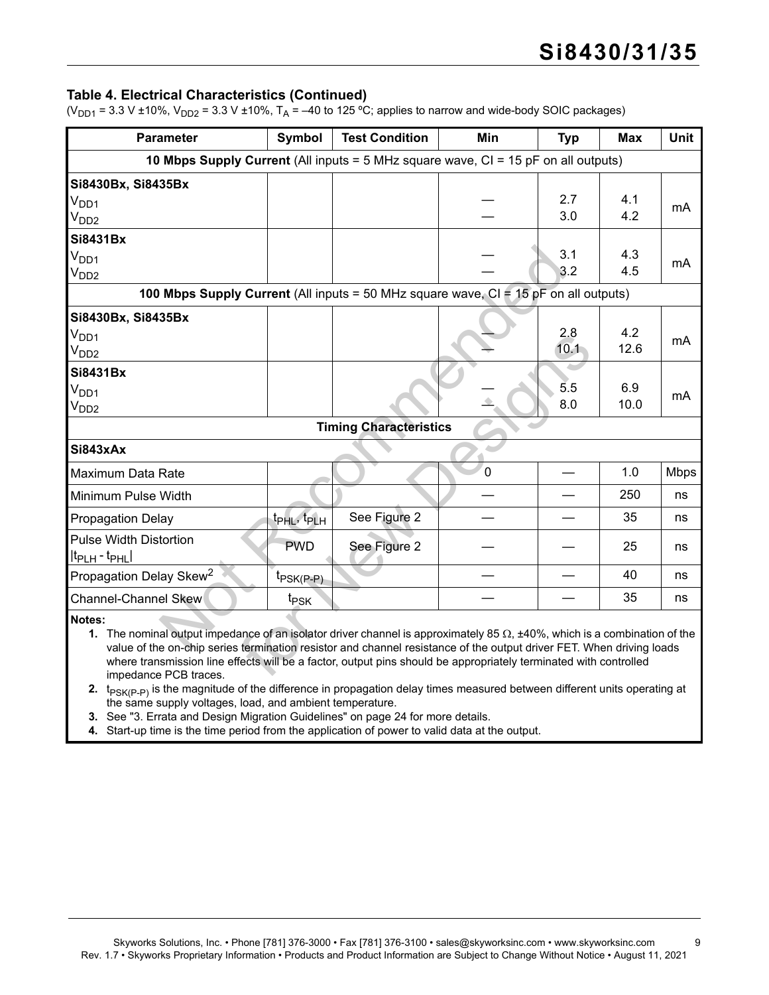#### **Table 4. Electrical Characteristics (Continued)**

( $V_{DD1}$  = 3.3 V ±10%,  $V_{DD2}$  = 3.3 V ±10%, T<sub>A</sub> = –40 to 125 °C; applies to narrow and wide-body SOIC packages)

| <b>Parameter</b>                                                                                                                                                                                                                                                                                                                                                                                                | <b>Symbol</b>                       | <b>Test Condition</b>         | Min            | <b>Typ</b> | <b>Max</b>  | <b>Unit</b> |
|-----------------------------------------------------------------------------------------------------------------------------------------------------------------------------------------------------------------------------------------------------------------------------------------------------------------------------------------------------------------------------------------------------------------|-------------------------------------|-------------------------------|----------------|------------|-------------|-------------|
| <b>10 Mbps Supply Current</b> (All inputs = $5$ MHz square wave, $CI = 15$ pF on all outputs)                                                                                                                                                                                                                                                                                                                   |                                     |                               |                |            |             |             |
| Si8430Bx, Si8435Bx                                                                                                                                                                                                                                                                                                                                                                                              |                                     |                               |                |            |             |             |
| $V_{DD1}$                                                                                                                                                                                                                                                                                                                                                                                                       |                                     |                               |                | 2.7        | 4.1         | mA          |
| V <sub>DD2</sub>                                                                                                                                                                                                                                                                                                                                                                                                |                                     |                               |                | 3.0        | 4.2         |             |
| <b>Si8431Bx</b>                                                                                                                                                                                                                                                                                                                                                                                                 |                                     |                               |                |            |             |             |
| $V_{DD1}$                                                                                                                                                                                                                                                                                                                                                                                                       |                                     |                               |                | 3.1        | 4.3         | mA          |
| V <sub>DD2</sub>                                                                                                                                                                                                                                                                                                                                                                                                |                                     |                               |                | 3.2        | 4.5         |             |
| <b>100 Mbps Supply Current</b> (All inputs = 50 MHz square wave, $CI = 15$ pF on all outputs)                                                                                                                                                                                                                                                                                                                   |                                     |                               |                |            |             |             |
| Si8430Bx, Si8435Bx                                                                                                                                                                                                                                                                                                                                                                                              |                                     |                               |                |            |             |             |
| $V_{DD1}$                                                                                                                                                                                                                                                                                                                                                                                                       |                                     |                               |                | 2.8        | 4.2         | mA          |
| $V_{DD2}$                                                                                                                                                                                                                                                                                                                                                                                                       |                                     |                               |                | 10.1       | 12.6        |             |
| <b>Si8431Bx</b>                                                                                                                                                                                                                                                                                                                                                                                                 |                                     |                               |                |            |             |             |
| $V_{DD1}$                                                                                                                                                                                                                                                                                                                                                                                                       |                                     |                               |                | 5.5<br>8.0 | 6.9<br>10.0 | mA          |
| $V_{DD2}$                                                                                                                                                                                                                                                                                                                                                                                                       |                                     |                               |                |            |             |             |
|                                                                                                                                                                                                                                                                                                                                                                                                                 |                                     | <b>Timing Characteristics</b> |                |            |             |             |
| Si843xAx                                                                                                                                                                                                                                                                                                                                                                                                        |                                     |                               |                |            |             |             |
| Maximum Data Rate                                                                                                                                                                                                                                                                                                                                                                                               |                                     |                               | $\overline{0}$ |            | 1.0         | <b>Mbps</b> |
| Minimum Pulse Width                                                                                                                                                                                                                                                                                                                                                                                             |                                     |                               |                |            | 250         | ns          |
| <b>Propagation Delay</b>                                                                                                                                                                                                                                                                                                                                                                                        | t <sub>PHL</sub> , t <sub>PLH</sub> | See Figure 2                  |                |            | 35          | ns          |
| <b>Pulse Width Distortion</b><br>$ t_{PLH} - t_{PHL} $                                                                                                                                                                                                                                                                                                                                                          | <b>PWD</b>                          | See Figure 2                  |                |            | 25          | ns          |
| Propagation Delay Skew <sup>2</sup>                                                                                                                                                                                                                                                                                                                                                                             | $t_{PSK(P-P)}$                      |                               |                |            | 40          | ns          |
| Channel-Channel Skew                                                                                                                                                                                                                                                                                                                                                                                            | t <sub>PSK</sub>                    |                               |                |            | 35          | ns          |
| Notes:<br>1. The nominal output impedance of an isolator driver channel is approximately 85 $\Omega$ , ±40%, which is a combination of the<br>value of the on-chip series termination resistor and channel resistance of the output driver FET. When driving loads<br>where transmission line effects will be a factor, output pins should be appropriately terminated with controlled<br>impedance PCB traces. |                                     |                               |                |            |             |             |

**2.**  $t_{PSK(P-P)}$  is the magnitude of the difference in propagation delay times measured between different units operating at the same supply voltages, load, and ambient temperature.

**3.** See "3. Errata and Design Migration Guidelines" on page 24 for more details.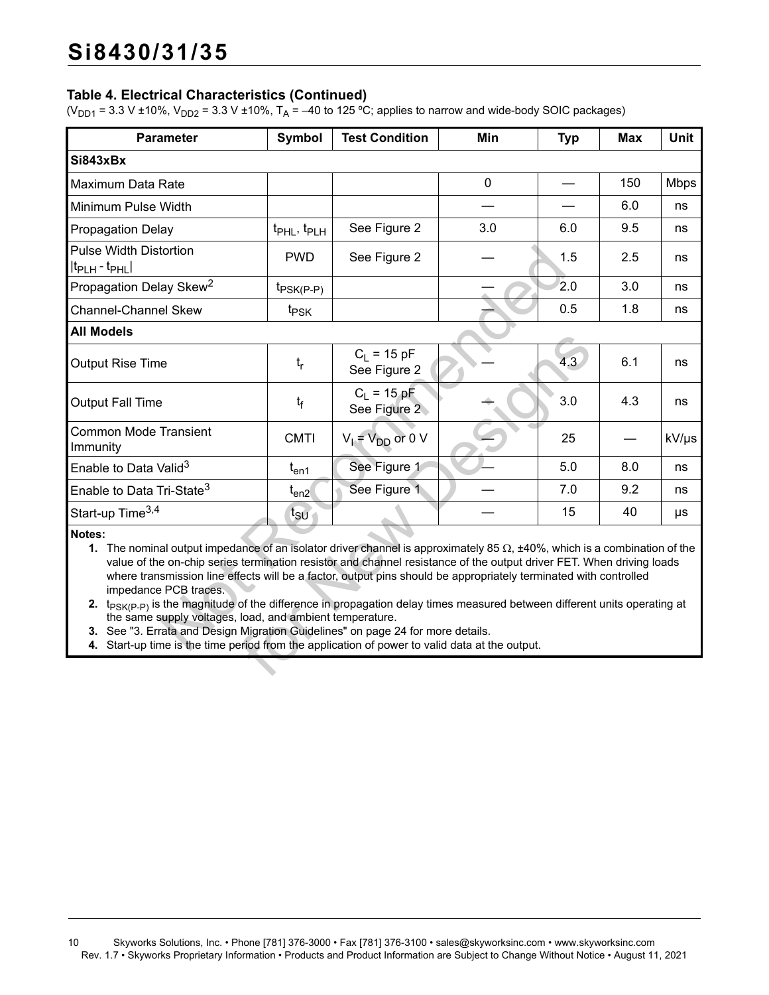### **Table 4. Electrical Characteristics (Continued)**

( $V_{DD1}$  = 3.3 V ±10%,  $V_{DD2}$  = 3.3 V ±10%, T<sub>A</sub> = –40 to 125 °C; applies to narrow and wide-body SOIC packages)

| <b>Parameter</b>                                                                                                                                                                                                                                                                                                                                                                                                                                                                                                                                                                                                                                                                                                                                                                                         | <b>Symbol</b>                       | <b>Test Condition</b>         | Min         | <b>Typ</b> | <b>Max</b> | <b>Unit</b> |  |
|----------------------------------------------------------------------------------------------------------------------------------------------------------------------------------------------------------------------------------------------------------------------------------------------------------------------------------------------------------------------------------------------------------------------------------------------------------------------------------------------------------------------------------------------------------------------------------------------------------------------------------------------------------------------------------------------------------------------------------------------------------------------------------------------------------|-------------------------------------|-------------------------------|-------------|------------|------------|-------------|--|
| Si843xBx                                                                                                                                                                                                                                                                                                                                                                                                                                                                                                                                                                                                                                                                                                                                                                                                 |                                     |                               |             |            |            |             |  |
| Maximum Data Rate                                                                                                                                                                                                                                                                                                                                                                                                                                                                                                                                                                                                                                                                                                                                                                                        |                                     |                               | $\mathbf 0$ |            | 150        | <b>Mbps</b> |  |
| Minimum Pulse Width                                                                                                                                                                                                                                                                                                                                                                                                                                                                                                                                                                                                                                                                                                                                                                                      |                                     |                               |             |            | 6.0        | ns          |  |
| <b>Propagation Delay</b>                                                                                                                                                                                                                                                                                                                                                                                                                                                                                                                                                                                                                                                                                                                                                                                 | t <sub>PHL</sub> , t <sub>PLH</sub> | See Figure 2                  | 3.0         | 6.0        | 9.5        | ns          |  |
| <b>Pulse Width Distortion</b><br>$ t_{\text{PLH}} - t_{\text{PHL}} $                                                                                                                                                                                                                                                                                                                                                                                                                                                                                                                                                                                                                                                                                                                                     | <b>PWD</b>                          | See Figure 2                  |             | 1.5        | 2.5        | ns          |  |
| Propagation Delay Skew <sup>2</sup>                                                                                                                                                                                                                                                                                                                                                                                                                                                                                                                                                                                                                                                                                                                                                                      | $t_{PSK(P-P)}$                      |                               |             | 2.0        | 3.0        | ns          |  |
| <b>Channel-Channel Skew</b>                                                                                                                                                                                                                                                                                                                                                                                                                                                                                                                                                                                                                                                                                                                                                                              | t <sub>PSK</sub>                    |                               |             | 0.5        | 1.8        | ns          |  |
| <b>All Models</b>                                                                                                                                                                                                                                                                                                                                                                                                                                                                                                                                                                                                                                                                                                                                                                                        |                                     |                               |             |            |            |             |  |
| Output Rise Time                                                                                                                                                                                                                                                                                                                                                                                                                                                                                                                                                                                                                                                                                                                                                                                         | $t_r$                               | $C_1 = 15 pF$<br>See Figure 2 |             | 4.3        | 6.1        | ns          |  |
| <b>Output Fall Time</b>                                                                                                                                                                                                                                                                                                                                                                                                                                                                                                                                                                                                                                                                                                                                                                                  | $t_{\rm f}$                         | $C_1 = 15 pF$<br>See Figure 2 |             | 3.0        | 4.3        | ns          |  |
| <b>Common Mode Transient</b><br>Immunity                                                                                                                                                                                                                                                                                                                                                                                                                                                                                                                                                                                                                                                                                                                                                                 | <b>CMTI</b>                         | $V_l = V_{DD}$ or 0 V         |             | 25         |            | kV/µs       |  |
| Enable to Data Valid <sup>3</sup>                                                                                                                                                                                                                                                                                                                                                                                                                                                                                                                                                                                                                                                                                                                                                                        | $t_{en1}$                           | See Figure 1                  |             | 5.0        | 8.0        | ns          |  |
| Enable to Data Tri-State <sup>3</sup>                                                                                                                                                                                                                                                                                                                                                                                                                                                                                                                                                                                                                                                                                                                                                                    | $t_{en2}$                           | See Figure 1                  |             | 7.0        | 9.2        | ns          |  |
| Start-up Time <sup>3,4</sup>                                                                                                                                                                                                                                                                                                                                                                                                                                                                                                                                                                                                                                                                                                                                                                             | $t_{\rm SU}$                        |                               |             | 15         | 40         | μs          |  |
| Notes:<br>1. The nominal output impedance of an isolator driver channel is approximately 85 $\Omega$ , ±40%, which is a combination of the<br>value of the on-chip series termination resistor and channel resistance of the output driver FET. When driving loads<br>where transmission line effects will be a factor, output pins should be appropriately terminated with controlled<br>impedance PCB traces.<br>2. t <sub>PSK(P-P)</sub> is the magnitude of the difference in propagation delay times measured between different units operating at<br>the same supply voltages, load, and ambient temperature.<br>3. See "3. Errata and Design Migration Guidelines" on page 24 for more details.<br>4. Start-up time is the time period from the application of power to valid data at the output. |                                     |                               |             |            |            |             |  |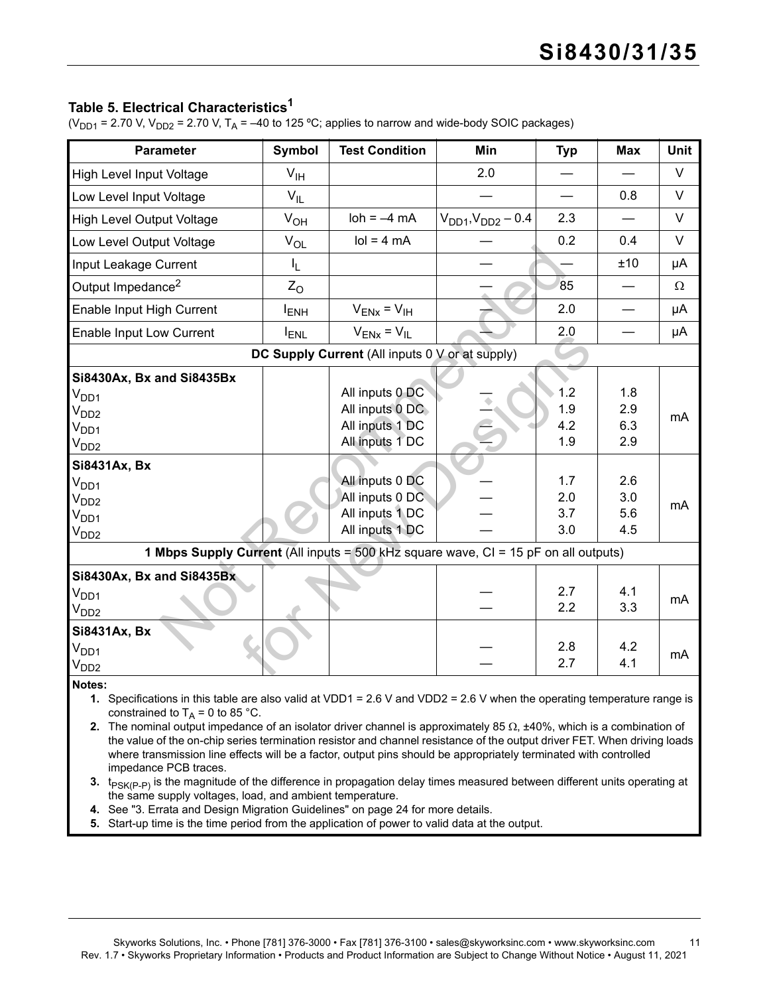## <span id="page-10-5"></span>**Table 5. Electrical Characteristics[1](#page-10-1)**

( $V_{DD1}$  = 2.70 V,  $V_{DD2}$  = 2.70 V, T<sub>A</sub> = -40 to 125 °C; applies to narrow and wide-body SOIC packages)

<span id="page-10-4"></span><span id="page-10-3"></span><span id="page-10-2"></span><span id="page-10-1"></span><span id="page-10-0"></span>

| <b>Parameter</b>                                                                                                                                              | Symbol           | <b>Test Condition</b>                           | Min                         | <b>Typ</b> | <b>Max</b> | <b>Unit</b> |
|---------------------------------------------------------------------------------------------------------------------------------------------------------------|------------------|-------------------------------------------------|-----------------------------|------------|------------|-------------|
| High Level Input Voltage                                                                                                                                      | V <sub>IH</sub>  |                                                 | 2.0                         |            |            | $\vee$      |
| Low Level Input Voltage                                                                                                                                       | $V_{IL}$         |                                                 |                             |            | 0.8        | V           |
| High Level Output Voltage                                                                                                                                     | $V_{OH}$         | $\text{loh} = -4 \text{ mA}$                    | $V_{DD1}$ , $V_{DD2}$ – 0.4 | 2.3        |            | V           |
|                                                                                                                                                               |                  | $\text{Io} = 4 \text{ mA}$                      |                             | 0.2        | 0.4        | V           |
| Low Level Output Voltage                                                                                                                                      | $V_{OL}$         |                                                 |                             |            |            |             |
| Input Leakage Current                                                                                                                                         | IL.              |                                                 |                             |            | ±10        | μA          |
| Output Impedance <sup>2</sup>                                                                                                                                 | $Z_{\rm O}$      |                                                 |                             | 85         |            | Ω           |
| Enable Input High Current                                                                                                                                     | l <sub>ENH</sub> | $V_{ENX} = V_{IH}$                              |                             | 2.0        |            | μA          |
| Enable Input Low Current                                                                                                                                      | <b>ENL</b>       | $V_{ENX} = V_{IL}$                              |                             | 2.0        |            | μA          |
|                                                                                                                                                               |                  | DC Supply Current (All inputs 0 V or at supply) |                             |            |            |             |
| Si8430Ax, Bx and Si8435Bx                                                                                                                                     |                  |                                                 |                             |            |            |             |
| V <sub>DD1</sub>                                                                                                                                              |                  | All inputs 0 DC                                 |                             | 1.2        | 1.8        |             |
| V <sub>DD2</sub>                                                                                                                                              |                  | All inputs 0 DC                                 |                             | 1.9        | 2.9        | mA          |
| $V_{DD1}$                                                                                                                                                     |                  | All inputs 1 DC                                 |                             | 4.2        | 6.3        |             |
| V <sub>DD2</sub>                                                                                                                                              |                  | All inputs 1 DC                                 |                             | 1.9        | 2.9        |             |
| Si8431Ax, Bx                                                                                                                                                  |                  |                                                 |                             |            |            |             |
| V <sub>DD1</sub>                                                                                                                                              |                  | All inputs 0 DC                                 |                             | 1.7        | 2.6        |             |
| V <sub>DD2</sub>                                                                                                                                              |                  | All inputs 0 DC                                 |                             | 2.0        | 3.0        |             |
| V <sub>DD1</sub>                                                                                                                                              |                  | All inputs 1 DC                                 |                             | 3.7        | 5.6        | mA          |
| V <sub>DD2</sub>                                                                                                                                              |                  | All inputs 1 DC                                 |                             | 3.0        | 4.5        |             |
| 1 Mbps Supply Current (All inputs = 500 kHz square wave, CI = 15 pF on all outputs)                                                                           |                  |                                                 |                             |            |            |             |
| Si8430Ax, Bx and Si8435Bx                                                                                                                                     |                  |                                                 |                             |            |            |             |
|                                                                                                                                                               |                  |                                                 |                             | 2.7        | 4.1        |             |
| $V_{DD1}$                                                                                                                                                     |                  |                                                 |                             | 2.2        | 3.3        | mA          |
| V <sub>DD2</sub>                                                                                                                                              |                  |                                                 |                             |            |            |             |
| Si8431Ax, Bx                                                                                                                                                  |                  |                                                 |                             |            |            |             |
| V <sub>DD1</sub>                                                                                                                                              |                  |                                                 |                             | 2.8        | 4.2        | mA          |
| V <sub>DD2</sub>                                                                                                                                              |                  |                                                 |                             | 2.7        | 4.1        |             |
| Notes:                                                                                                                                                        |                  |                                                 |                             |            |            |             |
| 1. Specifications in this table are also valid at VDD1 = 2.6 V and VDD2 = 2.6 V when the operating temperature range is<br>constrained to $T_A = 0$ to 85 °C. |                  |                                                 |                             |            |            |             |
| 2. The nominal output impedance of an isolator driver channel is approximately 85 $\Omega$ , $\pm$ 40%, which is a combination of                             |                  |                                                 |                             |            |            |             |
| the value of the on-chip series termination resistor and channel resistance of the output driver FET. When driving loads                                      |                  |                                                 |                             |            |            |             |
| where transmission line effects will be a factor, output pins should be appropriately terminated with controlled                                              |                  |                                                 |                             |            |            |             |
| impedance PCB traces.                                                                                                                                         |                  |                                                 |                             |            |            |             |
| 3. t <sub>PSK(P-P)</sub> is the magnitude of the difference in propagation delay times measured between different units operating at                          |                  |                                                 |                             |            |            |             |
| the same supply voltages, load, and ambient temperature.                                                                                                      |                  |                                                 |                             |            |            |             |
| 4. See "3. Errata and Design Migration Guidelines" on page 24 for more details.                                                                               |                  |                                                 |                             |            |            |             |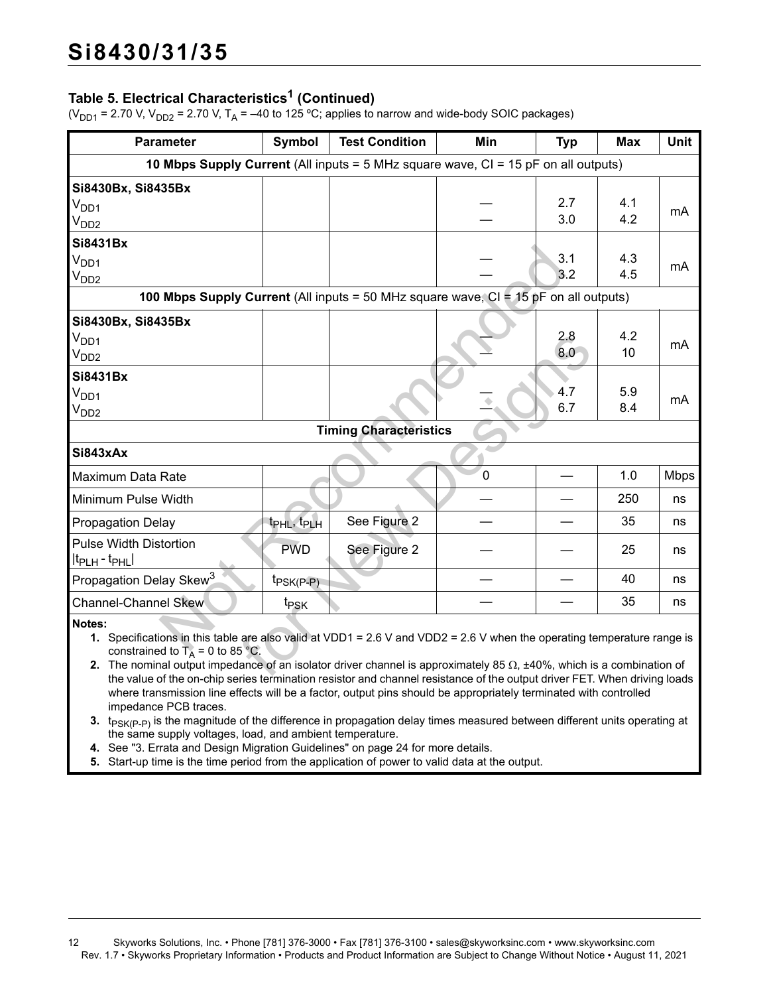## **Table 5. Electrical Characteristics1 (Continued)**

( $V_{DD1}$  = 2.70 V,  $V_{DD2}$  = 2.70 V, T<sub>A</sub> = -40 to 125 °C; applies to narrow and wide-body SOIC packages)

| <b>Parameter</b>                                                                                                                                                        | Symbol                                                                                                                                                                                                                                                       | <b>Test Condition</b>         | Min         | <b>Typ</b> | <b>Max</b> | Unit        |  |  |
|-------------------------------------------------------------------------------------------------------------------------------------------------------------------------|--------------------------------------------------------------------------------------------------------------------------------------------------------------------------------------------------------------------------------------------------------------|-------------------------------|-------------|------------|------------|-------------|--|--|
| <b>10 Mbps Supply Current</b> (All inputs = $5$ MHz square wave, $CI = 15$ pF on all outputs)                                                                           |                                                                                                                                                                                                                                                              |                               |             |            |            |             |  |  |
| Si8430Bx, Si8435Bx<br>V <sub>DD1</sub><br>V <sub>DD2</sub>                                                                                                              |                                                                                                                                                                                                                                                              |                               |             | 2.7<br>3.0 | 4.1<br>4.2 | mA          |  |  |
| <b>Si8431Bx</b><br>$V_{DD1}$<br>V <sub>DD2</sub>                                                                                                                        |                                                                                                                                                                                                                                                              |                               |             | 3.1<br>3.2 | 4.3<br>4.5 | mA          |  |  |
| <b>100 Mbps Supply Current</b> (All inputs = 50 MHz square wave, $CI = 15$ pF on all outputs)                                                                           |                                                                                                                                                                                                                                                              |                               |             |            |            |             |  |  |
| Si8430Bx, Si8435Bx<br>V <sub>DD1</sub><br>V <sub>DD2</sub>                                                                                                              |                                                                                                                                                                                                                                                              |                               |             | 2.8<br>8.0 | 4.2<br>10  | mA          |  |  |
| <b>Si8431Bx</b><br>$V_{DD1}$<br>V <sub>DD2</sub>                                                                                                                        |                                                                                                                                                                                                                                                              |                               |             | 4.7<br>6.7 | 5.9<br>8.4 | mA          |  |  |
|                                                                                                                                                                         |                                                                                                                                                                                                                                                              | <b>Timing Characteristics</b> |             |            |            |             |  |  |
| Si843xAx                                                                                                                                                                |                                                                                                                                                                                                                                                              |                               |             |            |            |             |  |  |
| Maximum Data Rate                                                                                                                                                       |                                                                                                                                                                                                                                                              |                               | $\mathbf 0$ |            | 1.0        | <b>Mbps</b> |  |  |
| Minimum Pulse Width                                                                                                                                                     |                                                                                                                                                                                                                                                              |                               |             |            | 250        | ns          |  |  |
| <b>Propagation Delay</b>                                                                                                                                                | t <sub>PHL</sub> , t <sub>PLH</sub>                                                                                                                                                                                                                          | See Figure 2                  |             |            | 35         | ns          |  |  |
| <b>Pulse Width Distortion</b><br>$ t_{\sf PLH}$ - $t_{\sf PHL} $                                                                                                        | <b>PWD</b>                                                                                                                                                                                                                                                   | See Figure 2                  |             |            | 25         | ns          |  |  |
| Propagation Delay Skew <sup>3</sup>                                                                                                                                     | $t_{PSK(P-P)}$                                                                                                                                                                                                                                               |                               |             |            | 40         | ns          |  |  |
| <b>Channel-Channel Skew</b>                                                                                                                                             | t <sub>PSK</sub>                                                                                                                                                                                                                                             |                               |             |            | 35         | ns          |  |  |
| Notes:<br>constrained to $T_A = 0$ to 85 °C.<br>the value of the en chin series termination resister and channel resistance of the output driver EET When driving leads | 1. Specifications in this table are also valid at VDD1 = 2.6 V and VDD2 = 2.6 V when the operating temperature range is<br>2. The nominal output impedance of an isolator driver channel is approximately 85 $\Omega$ , $\pm$ 40%, which is a combination of |                               |             |            |            |             |  |  |

**2.** The nominal output impedance of an isolator driver channel is approximately 85  $\Omega$ ,  $\pm$ 40%, which is a combination of the value of the on-chip series termination resistor and channel resistance of the output driver FET. When driving loads where transmission line effects will be a factor, output pins should be appropriately terminated with controlled impedance PCB traces.

**3.**  $t_{PSK(P,P)}$  is the magnitude of the difference in propagation delay times measured between different units operating at the same supply voltages, load, and ambient temperature.

**4.** See "3. Errata and Design Migration Guidelines" on page 24 for more details.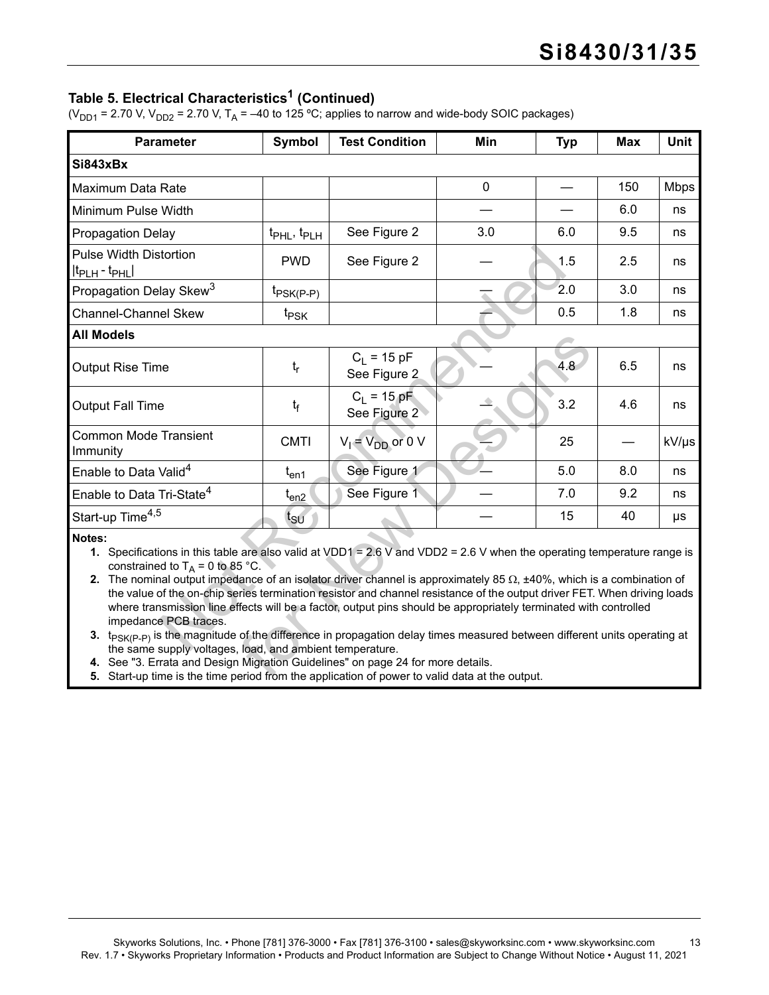### Table 5. Electrical Characteristics<sup>1</sup> (Continued)

( $V_{DD1}$  = 2.70 V,  $V_{DD2}$  = 2.70 V, T<sub>A</sub> = -40 to 125 °C; applies to narrow and wide-body SOIC packages)

| <b>Parameter</b>                                                                                                                                                                                                                                                                                                                                                                                                                                                                                                                                                                                                                                                                                                                                                                                                                                                                                                                                                        | Symbol                              | <b>Test Condition</b>         | Min            | <b>Typ</b> | <b>Max</b> | <b>Unit</b> |  |  |
|-------------------------------------------------------------------------------------------------------------------------------------------------------------------------------------------------------------------------------------------------------------------------------------------------------------------------------------------------------------------------------------------------------------------------------------------------------------------------------------------------------------------------------------------------------------------------------------------------------------------------------------------------------------------------------------------------------------------------------------------------------------------------------------------------------------------------------------------------------------------------------------------------------------------------------------------------------------------------|-------------------------------------|-------------------------------|----------------|------------|------------|-------------|--|--|
| Si843xBx                                                                                                                                                                                                                                                                                                                                                                                                                                                                                                                                                                                                                                                                                                                                                                                                                                                                                                                                                                |                                     |                               |                |            |            |             |  |  |
| Maximum Data Rate                                                                                                                                                                                                                                                                                                                                                                                                                                                                                                                                                                                                                                                                                                                                                                                                                                                                                                                                                       |                                     |                               | $\overline{0}$ |            | 150        | <b>Mbps</b> |  |  |
| Minimum Pulse Width                                                                                                                                                                                                                                                                                                                                                                                                                                                                                                                                                                                                                                                                                                                                                                                                                                                                                                                                                     |                                     |                               |                |            | 6.0        | ns          |  |  |
| <b>Propagation Delay</b>                                                                                                                                                                                                                                                                                                                                                                                                                                                                                                                                                                                                                                                                                                                                                                                                                                                                                                                                                | t <sub>PHL</sub> , t <sub>PLH</sub> | See Figure 2                  | 3.0            | 6.0        | 9.5        | ns          |  |  |
| <b>Pulse Width Distortion</b><br>$ t_{\text{PLH}} - t_{\text{PHL}} $                                                                                                                                                                                                                                                                                                                                                                                                                                                                                                                                                                                                                                                                                                                                                                                                                                                                                                    | <b>PWD</b>                          | See Figure 2                  |                | 1.5        | 2.5        | ns          |  |  |
| Propagation Delay Skew <sup>3</sup>                                                                                                                                                                                                                                                                                                                                                                                                                                                                                                                                                                                                                                                                                                                                                                                                                                                                                                                                     | $t_{PSK(P-P)}$                      |                               |                | 2.0        | 3.0        | ns          |  |  |
| <b>Channel-Channel Skew</b>                                                                                                                                                                                                                                                                                                                                                                                                                                                                                                                                                                                                                                                                                                                                                                                                                                                                                                                                             | t <sub>PSK</sub>                    |                               |                | 0.5        | 1.8        | ns          |  |  |
| <b>All Models</b>                                                                                                                                                                                                                                                                                                                                                                                                                                                                                                                                                                                                                                                                                                                                                                                                                                                                                                                                                       |                                     |                               |                |            |            |             |  |  |
| <b>Output Rise Time</b>                                                                                                                                                                                                                                                                                                                                                                                                                                                                                                                                                                                                                                                                                                                                                                                                                                                                                                                                                 | $t_{r}$                             | $C_1 = 15 pF$<br>See Figure 2 |                | 4.8        | 6.5        | ns          |  |  |
| <b>Output Fall Time</b>                                                                                                                                                                                                                                                                                                                                                                                                                                                                                                                                                                                                                                                                                                                                                                                                                                                                                                                                                 | $t_{\mathsf{f}}$                    | $C_1 = 15$ pF<br>See Figure 2 |                | 3.2        | 4.6        | ns          |  |  |
| <b>Common Mode Transient</b><br>Immunity                                                                                                                                                                                                                                                                                                                                                                                                                                                                                                                                                                                                                                                                                                                                                                                                                                                                                                                                | <b>CMTI</b>                         | $V_1 = V_{DD}$ or 0 V         |                | 25         |            | kV/µs       |  |  |
| Enable to Data Valid <sup>4</sup>                                                                                                                                                                                                                                                                                                                                                                                                                                                                                                                                                                                                                                                                                                                                                                                                                                                                                                                                       | $t_{en1}$                           | See Figure 1                  |                | 5.0        | 8.0        | ns          |  |  |
| Enable to Data Tri-State <sup>4</sup>                                                                                                                                                                                                                                                                                                                                                                                                                                                                                                                                                                                                                                                                                                                                                                                                                                                                                                                                   | $t_{en2}$                           | See Figure 1                  |                | 7.0        | 9.2        | ns          |  |  |
| Start-up Time <sup>4,5</sup>                                                                                                                                                                                                                                                                                                                                                                                                                                                                                                                                                                                                                                                                                                                                                                                                                                                                                                                                            | t <sub>su</sub>                     |                               |                | 15         | 40         | μs          |  |  |
| Notes:<br>1. Specifications in this table are also valid at VDD1 = 2.6 V and VDD2 = 2.6 V when the operating temperature range is<br>constrained to $T_A = 0$ to 85 °C.<br>2. The nominal output impedance of an isolator driver channel is approximately 85 $\Omega$ , $\pm$ 40%, which is a combination of<br>the value of the on-chip series termination resistor and channel resistance of the output driver FET. When driving loads<br>where transmission line effects will be a factor, output pins should be appropriately terminated with controlled<br>impedance PCB traces.<br>3. $t_{PSK(P-P)}$ is the magnitude of the difference in propagation delay times measured between different units operating at<br>the same supply voltages, load, and ambient temperature.<br>4. See "3. Errata and Design Migration Guidelines" on page 24 for more details.<br>5. Start-up time is the time period from the application of power to valid data at the output. |                                     |                               |                |            |            |             |  |  |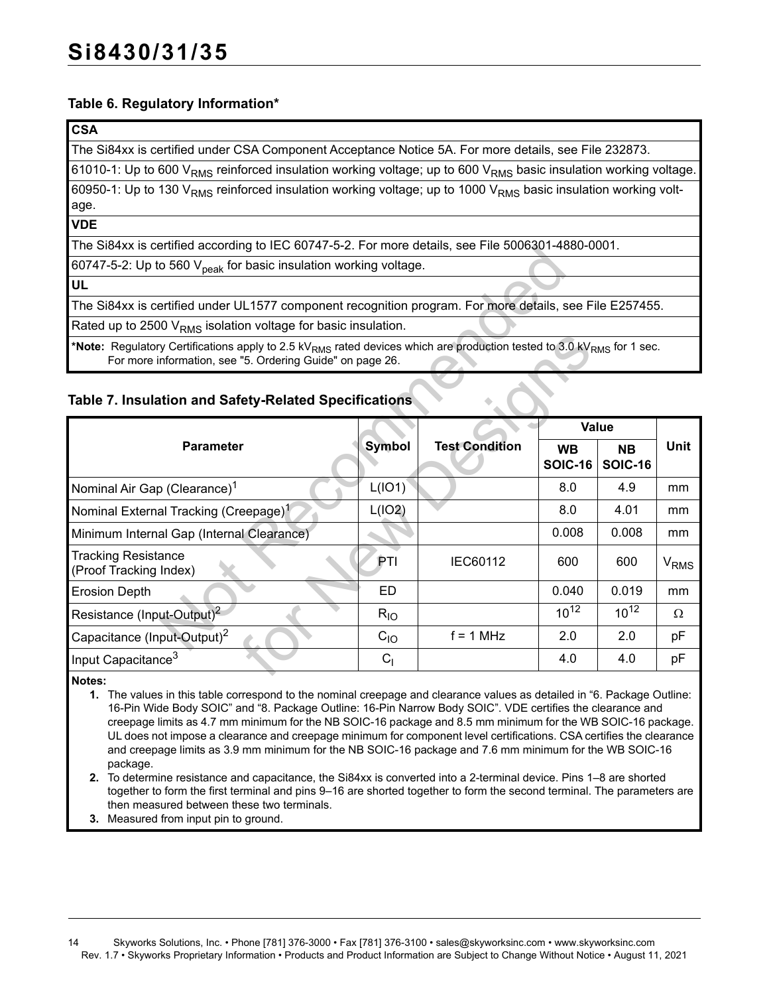### <span id="page-13-3"></span>**Table 6. Regulatory Information\***

#### **CSA**

The Si84xx is certified under CSA Component Acceptance Notice 5A. For more details, see File 232873.

61010-1: Up to 600 V<sub>RMS</sub> reinforced insulation working voltage; up to 600 V<sub>RMS</sub> basic insulation working voltage.

60950-1: Up to 130 V<sub>RMS</sub> reinforced insulation working voltage; up to 1000 V<sub>RMS</sub> basic insulation working voltage.

**VDE**

The Si84xx is certified according to IEC 60747-5-2. For more details, see File 5006301-4880-0001.

| The SI84XX is certified according to TEC 60747-5-2. For more details, see File 5006301-4880-0001.                                                                                                          |               |                       |                             |                             |                        |
|------------------------------------------------------------------------------------------------------------------------------------------------------------------------------------------------------------|---------------|-----------------------|-----------------------------|-----------------------------|------------------------|
| 60747-5-2: Up to 560 V <sub>peak</sub> for basic insulation working voltage.                                                                                                                               |               |                       |                             |                             |                        |
| <b>UL</b>                                                                                                                                                                                                  |               |                       |                             |                             |                        |
| The Si84xx is certified under UL1577 component recognition program. For more details, see File E257455.                                                                                                    |               |                       |                             |                             |                        |
| Rated up to 2500 V <sub>RMS</sub> isolation voltage for basic insulation.                                                                                                                                  |               |                       |                             |                             |                        |
| *Note: Regulatory Certifications apply to 2.5 kV <sub>RMS</sub> rated devices which are production tested to 3.0 kV <sub>RMS</sub> for 1 sec.<br>For more information, see "5. Ordering Guide" on page 26. |               |                       |                             |                             |                        |
| Table 7. Insulation and Safety-Related Specifications                                                                                                                                                      |               |                       |                             |                             |                        |
|                                                                                                                                                                                                            |               |                       |                             | <b>Value</b>                |                        |
| <b>Parameter</b>                                                                                                                                                                                           | <b>Symbol</b> | <b>Test Condition</b> | <b>WB</b><br><b>SOIC-16</b> | <b>NB</b><br><b>SOIC-16</b> | <b>Unit</b>            |
| Nominal Air Gap (Clearance) <sup>1</sup>                                                                                                                                                                   | L(IO1)        |                       | 8.0                         | 4.9                         | mm                     |
| Nominal External Tracking (Creepage) <sup>1</sup>                                                                                                                                                          | L(IO2)        |                       | 8.0                         | 4.01                        | mm                     |
| Minimum Internal Gap (Internal Clearance)                                                                                                                                                                  |               |                       | 0.008                       | 0.008                       | mm                     |
| <b>Tracking Resistance</b><br>(Proof Tracking Index)                                                                                                                                                       | PTI           | IEC60112              | 600                         | 600                         | <b>V<sub>RMS</sub></b> |
| <b>Erosion Depth</b>                                                                                                                                                                                       | ED            |                       | 0.040                       | 0.019                       | mm                     |
| Resistance (Input-Output) <sup>2</sup>                                                                                                                                                                     | $R_{IO}$      |                       | $10^{12}$                   | $10^{12}$                   | Ω                      |
| Capacitance (Input-Output) <sup>2</sup>                                                                                                                                                                    | $C_{10}$      | $f = 1$ MHz           | 2.0                         | 2.0                         | рF                     |
| Input Capacitance <sup>3</sup>                                                                                                                                                                             | $C_{1}$       |                       | 4.0                         | 4.0                         | рF                     |
| $M = 4 - 6$                                                                                                                                                                                                |               |                       |                             |                             |                        |

### <span id="page-13-4"></span>**Table 7. Insulation and Safety-Related Specifications**

<span id="page-13-0"></span>**Notes:**

**1.** The values in this table correspond to the nominal creepage and clearance values as detailed in ["6. Package Outline:](#page-27-0)  [16-Pin Wide Body SOIC"](#page-27-0) and ["8. Package Outline: 16-Pin Narrow Body SOIC".](#page-29-0) VDE certifies the clearance and creepage limits as 4.7 mm minimum for the NB SOIC-16 package and 8.5 mm minimum for the WB SOIC-16 package. UL does not impose a clearance and creepage minimum for component level certifications. CSA certifies the clearance and creepage limits as 3.9 mm minimum for the NB SOIC-16 package and 7.6 mm minimum for the WB SOIC-16 package.

<span id="page-13-1"></span>**2.** To determine resistance and capacitance, the Si84xx is converted into a 2-terminal device. Pins 1–8 are shorted together to form the first terminal and pins 9–16 are shorted together to form the second terminal. The parameters are then measured between these two terminals.

<span id="page-13-2"></span>**3.** Measured from input pin to ground.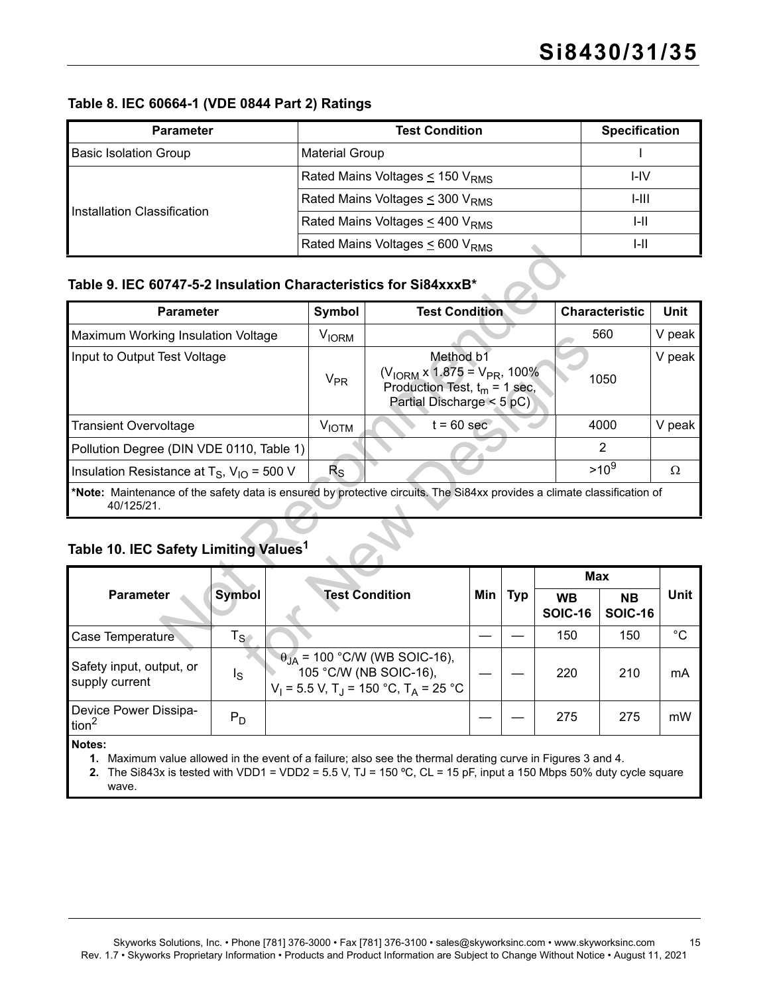#### <span id="page-14-2"></span>**Table 8. IEC 60664-1 (VDE 0844 Part 2) Ratings**

| <b>Parameter</b>             | <b>Test Condition</b>                            | <b>Specification</b> |
|------------------------------|--------------------------------------------------|----------------------|
| <b>Basic Isolation Group</b> | <b>Material Group</b>                            |                      |
|                              | Rated Mains Voltages $\leq$ 150 V <sub>RMS</sub> | I-IV                 |
|                              | Rated Mains Voltages $\leq$ 300 V <sub>RMS</sub> | I-III                |
| Installation Classification  | Rated Mains Voltages $\leq$ 400 V <sub>RMS</sub> | I-II                 |
|                              | Rated Mains Voltages $\leq 600$ V <sub>RMS</sub> | I-II                 |

## <span id="page-14-3"></span>**Table 9. IEC 60747-5-2 Insulation Characteristics for Si84xxxB\***

|                                                                                                                                        |                             |                       |                                                                                                                                       | $RMS$ Nategurians voltages $\geq 000$ v $RMS$                    |     |            |                             |                | 17H                         |             |
|----------------------------------------------------------------------------------------------------------------------------------------|-----------------------------|-----------------------|---------------------------------------------------------------------------------------------------------------------------------------|------------------------------------------------------------------|-----|------------|-----------------------------|----------------|-----------------------------|-------------|
| Table 9. IEC 60747-5-2 Insulation Characteristics for Si84xxxB*                                                                        |                             |                       |                                                                                                                                       |                                                                  |     |            |                             |                |                             |             |
| <b>Parameter</b>                                                                                                                       |                             |                       | <b>Symbol</b>                                                                                                                         | <b>Test Condition</b>                                            |     |            |                             |                | <b>Characteristic</b>       | <b>Unit</b> |
| Maximum Working Insulation Voltage                                                                                                     |                             |                       | <b>V<sub>IORM</sub></b>                                                                                                               |                                                                  |     |            |                             |                | 560                         | V peak      |
| Input to Output Test Voltage                                                                                                           |                             | <b>V<sub>PR</sub></b> | Method b1<br>$(V_{\text{IORM}} \times 1.875 = V_{\text{PR}}$ , 100%<br>Production Test, $t_m = 1$ sec,<br>Partial Discharge $<$ 5 pC) |                                                                  |     |            | 1050                        |                | V peak                      |             |
| <b>Transient Overvoltage</b>                                                                                                           |                             |                       | <b>VIOTM</b>                                                                                                                          | $t = 60$ sec                                                     |     |            |                             | 4000           |                             | V peak      |
| Pollution Degree (DIN VDE 0110, Table 1)                                                                                               |                             |                       |                                                                                                                                       |                                                                  |     |            |                             | $\overline{2}$ |                             |             |
| Insulation Resistance at T <sub>S</sub> , $V_{1O}$ = 500 V                                                                             |                             |                       | $R_{\rm S}$                                                                                                                           |                                                                  |     |            |                             |                | $>10^{9}$                   | $\Omega$    |
| *Note: Maintenance of the safety data is ensured by protective circuits. The Si84xx provides a climate classification of<br>40/125/21. |                             |                       |                                                                                                                                       |                                                                  |     |            |                             |                |                             |             |
| Table 10. IEC Safety Limiting Values <sup>1</sup>                                                                                      |                             |                       |                                                                                                                                       |                                                                  |     |            |                             |                |                             |             |
|                                                                                                                                        |                             |                       |                                                                                                                                       |                                                                  |     |            |                             | <b>Max</b>     |                             |             |
| <b>Parameter</b>                                                                                                                       | <b>Symbol</b>               |                       |                                                                                                                                       | <b>Test Condition</b>                                            | Min | <b>Typ</b> | <b>WB</b><br><b>SOIC-16</b> |                | <b>NB</b><br><b>SOIC-16</b> | <b>Unit</b> |
| Case Temperature                                                                                                                       | $\mathsf{T}_{\mathsf{S}^+}$ |                       |                                                                                                                                       |                                                                  |     |            |                             | 150            | 150                         | $^{\circ}C$ |
| Safety input, output, or                                                                                                               | ls.                         |                       |                                                                                                                                       | $\theta_{JA}$ = 100 °C/W (WB SOIC-16),<br>105 °C/W (NB SOIC-16), |     |            | 220                         |                | 210                         | mA          |

## **Table 10. IEC Safety Limiting Values<sup>1</sup>**

|                                            |                         |                                                                                                                                    |     |            | <b>Max</b>                  |                      |             |
|--------------------------------------------|-------------------------|------------------------------------------------------------------------------------------------------------------------------------|-----|------------|-----------------------------|----------------------|-------------|
| <b>Parameter</b>                           | <b>Symbol</b>           | <b>Test Condition</b>                                                                                                              | Min | <b>Typ</b> | <b>WB</b><br><b>SOIC-16</b> | NΒ<br><b>SOIC-16</b> | <b>Unit</b> |
| Case Temperature                           | $\mathsf{T}_\mathsf{S}$ |                                                                                                                                    |     |            | 150                         | 150                  | °C          |
| Safety input, output, or<br>supply current | Ιs                      | $\theta_{JA}$ = 100 °C/W (WB SOIC-16),<br>105 °C/W (NB SOIC-16),<br>$V_1 = 5.5$ V, T <sub>J</sub> = 150 °C, T <sub>A</sub> = 25 °C |     |            | 220                         | 210                  | mA          |
| Device Power Dissipa-<br>tion $^2$         | $P_D$                   |                                                                                                                                    |     |            | 275                         | 275                  | mW          |
| Notoe:                                     |                         |                                                                                                                                    |     |            |                             |                      |             |

<span id="page-14-0"></span>**Notes:**

- **1.** Maximum value allowed in the event of a failure; also see the thermal derating curve in Figures [3](#page-15-0) and [4.](#page-15-1)
- <span id="page-14-1"></span>**2.** The Si843x is tested with VDD1 = VDD2 = 5.5 V, TJ = 150 ºC, CL = 15 pF, input a 150 Mbps 50% duty cycle square wave.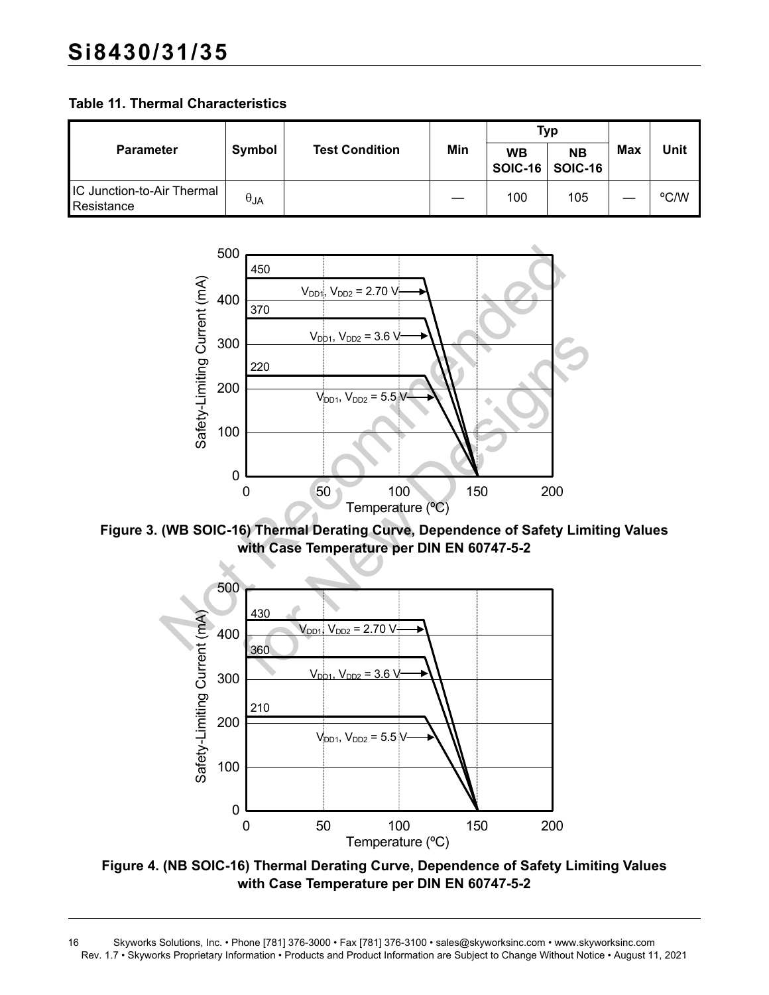**Table 11. Thermal Characteristics**

|                                          |               |                       |     | Typ                                   |           |     |      |
|------------------------------------------|---------------|-----------------------|-----|---------------------------------------|-----------|-----|------|
| <b>Parameter</b>                         | Symbol        | <b>Test Condition</b> | Min | <b>WB</b><br><b>SOIC-16   SOIC-16</b> | <b>NB</b> | Max | Unit |
| IC Junction-to-Air Thermal<br>Resistance | $\theta_{JA}$ |                       |     | 100                                   | 105       |     | °C/W |



<span id="page-15-0"></span>**Figure 3. (WB SOIC-16) Thermal Derating Curve, Dependence of Safety Limiting Values with Case Temperature per DIN EN 60747-5-2**



<span id="page-15-1"></span>**Figure 4. (NB SOIC-16) Thermal Derating Curve, Dependence of Safety Limiting Values with Case Temperature per DIN EN 60747-5-2**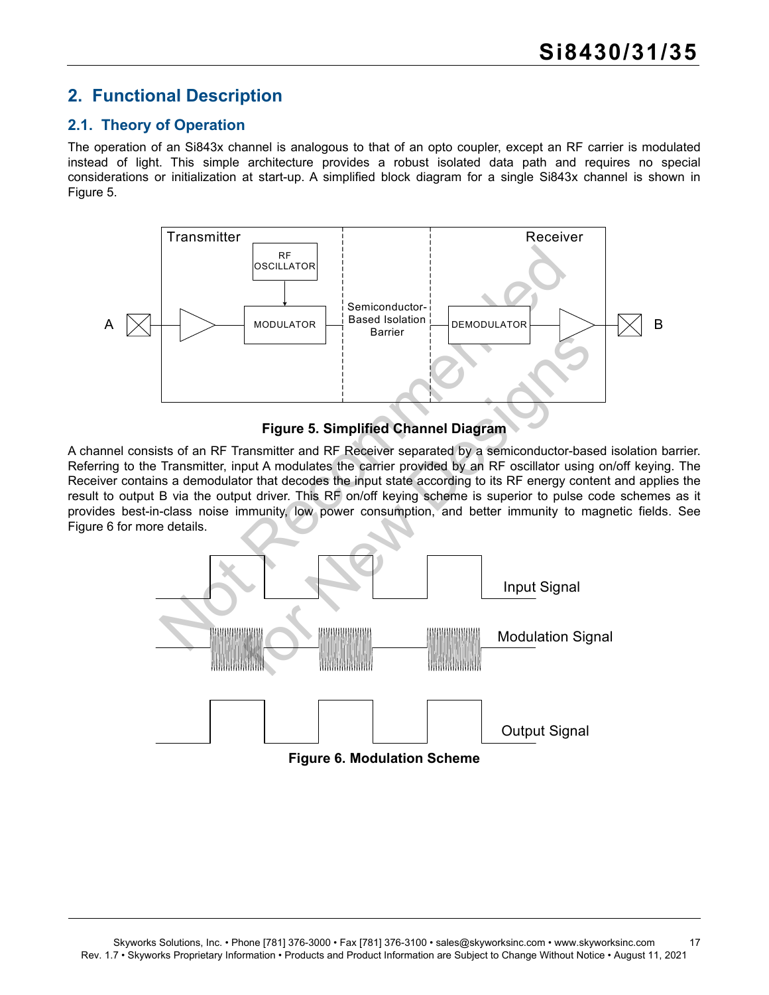## <span id="page-16-0"></span>**2. Functional Description**

## <span id="page-16-1"></span>**2.1. Theory of Operation**

The operation of an Si843x channel is analogous to that of an opto coupler, except an RF carrier is modulated instead of light. This simple architecture provides a robust isolated data path and requires no special considerations or initialization at start-up. A simplified block diagram for a single Si843x channel is shown in [Figure 5.](#page-16-2)



### **Figure 5. Simplified Channel Diagram**

<span id="page-16-2"></span>A channel consists of an RF Transmitter and RF Receiver separated by a semiconductor-based isolation barrier. Referring to the Transmitter, input A modulates the carrier provided by an RF oscillator using on/off keying. The Receiver contains a demodulator that decodes the input state according to its RF energy content and applies the result to output B via the output driver. This RF on/off keying scheme is superior to pulse code schemes as it provides best-in-class noise immunity, low power consumption, and better immunity to magnetic fields. See [Figure 6](#page-16-3) for more details.



<span id="page-16-3"></span>**Figure 6. Modulation Scheme**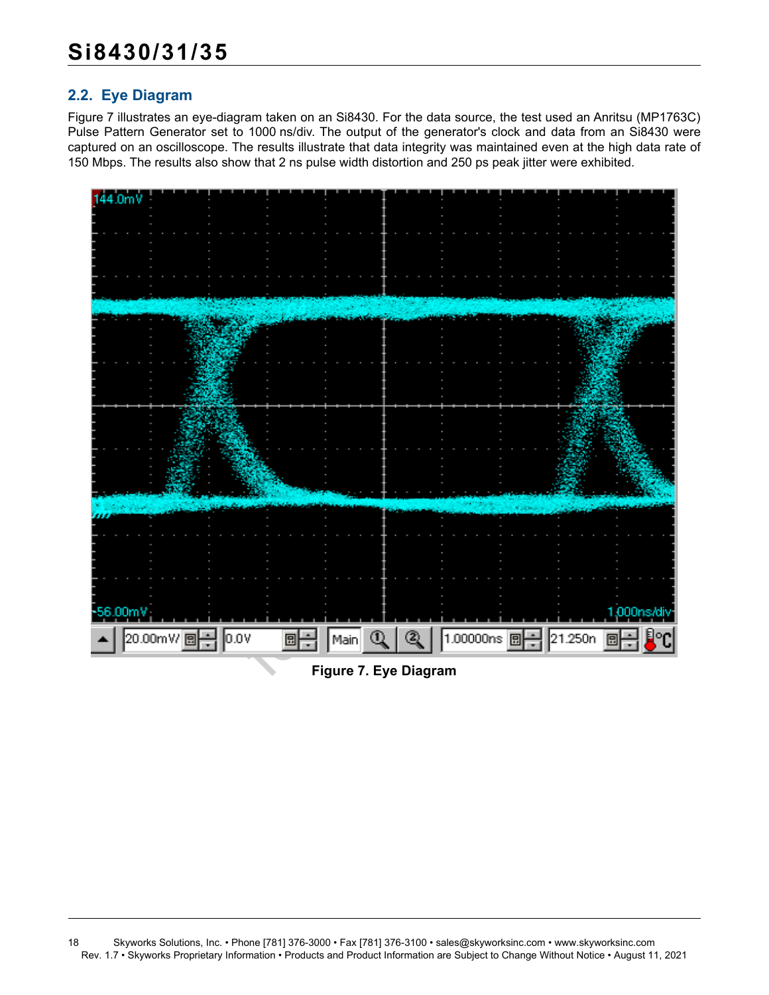## <span id="page-17-0"></span>**2.2. Eye Diagram**

[Figure 7](#page-17-1) illustrates an eye-diagram taken on an Si8430. For the data source, the test used an Anritsu (MP1763C) Pulse Pattern Generator set to 1000 ns/div. The output of the generator's clock and data from an Si8430 were captured on an oscilloscope. The results illustrate that data integrity was maintained even at the high data rate of 150 Mbps. The results also show that 2 ns pulse width distortion and 250 ps peak jitter were exhibited.



<span id="page-17-1"></span>**Figure 7. Eye Diagram**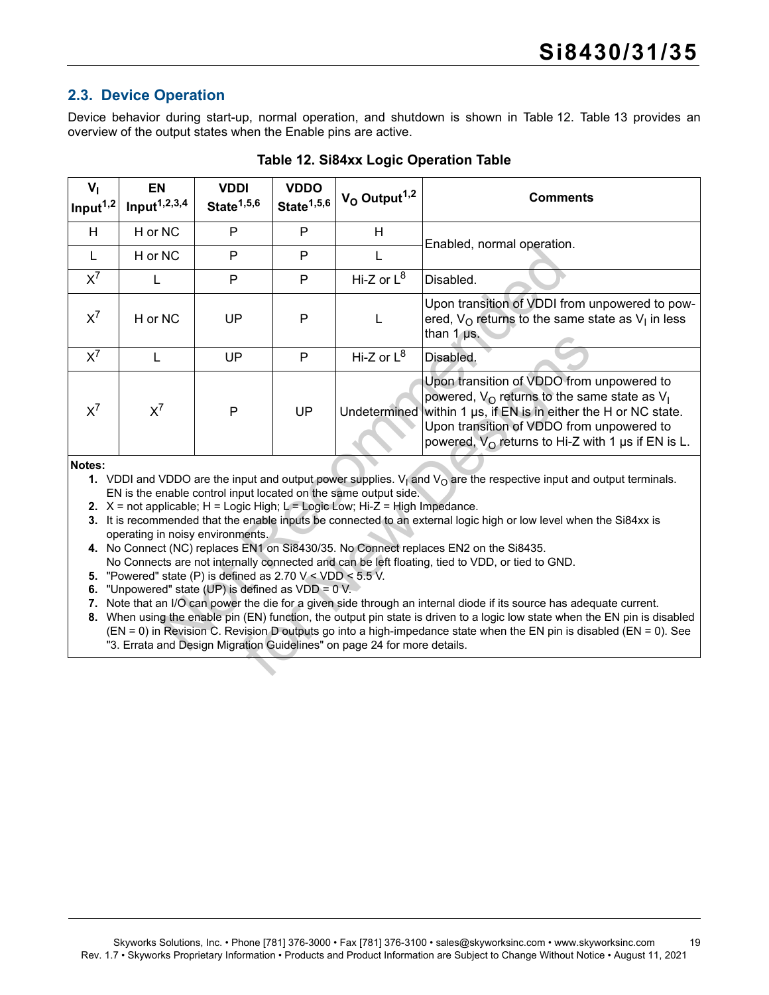## <span id="page-18-0"></span>**2.3. Device Operation**

Device behavior during start-up, normal operation, and shutdown is shown in [Table 12.](#page-18-8) [Table 13](#page-19-0) provides an overview of the output states when the Enable pins are active.

<span id="page-18-8"></span>

| $V_{1}$<br>Input $1,2$   | <b>EN</b><br>Input <sup>1,2,3,4</sup>                                                                                                                                    | <b>VDDI</b><br>State <sup>1,5,6</sup> | <b>VDDO</b><br>State $1,5,6$ | $V_O$ Output <sup>1,2</sup>                                                                                                                                                                                                   | <b>Comments</b>                                                                                                                                                                                                                                                                                                                                                                                                                                                                                                                                                                                                                                                                                                                                                                                                      |
|--------------------------|--------------------------------------------------------------------------------------------------------------------------------------------------------------------------|---------------------------------------|------------------------------|-------------------------------------------------------------------------------------------------------------------------------------------------------------------------------------------------------------------------------|----------------------------------------------------------------------------------------------------------------------------------------------------------------------------------------------------------------------------------------------------------------------------------------------------------------------------------------------------------------------------------------------------------------------------------------------------------------------------------------------------------------------------------------------------------------------------------------------------------------------------------------------------------------------------------------------------------------------------------------------------------------------------------------------------------------------|
| H                        | H or NC                                                                                                                                                                  | P                                     | P                            | H                                                                                                                                                                                                                             | Enabled, normal operation.                                                                                                                                                                                                                                                                                                                                                                                                                                                                                                                                                                                                                                                                                                                                                                                           |
| $\mathsf{L}$             | H or NC                                                                                                                                                                  | P                                     | P                            | L                                                                                                                                                                                                                             |                                                                                                                                                                                                                                                                                                                                                                                                                                                                                                                                                                                                                                                                                                                                                                                                                      |
| $X^7$                    | L                                                                                                                                                                        | P                                     | P                            | Hi-Z or $L^8$                                                                                                                                                                                                                 | Disabled.                                                                                                                                                                                                                                                                                                                                                                                                                                                                                                                                                                                                                                                                                                                                                                                                            |
| $X^7$                    | H or NC                                                                                                                                                                  | UP                                    | P                            | L                                                                                                                                                                                                                             | Upon transition of VDDI from unpowered to pow-<br>ered, $V_{\Omega}$ returns to the same state as $V_{\text{I}}$ in less<br>than $1 \mu s$ .                                                                                                                                                                                                                                                                                                                                                                                                                                                                                                                                                                                                                                                                         |
| $X^7$                    | L                                                                                                                                                                        | UP                                    | P                            | Hi-Z or $L^8$                                                                                                                                                                                                                 | Disabled.                                                                                                                                                                                                                                                                                                                                                                                                                                                                                                                                                                                                                                                                                                                                                                                                            |
| $X^7$                    | $X^7$                                                                                                                                                                    | P                                     | UP                           |                                                                                                                                                                                                                               | Upon transition of VDDO from unpowered to<br>powered, $V_{\Omega}$ returns to the same state as $V_{\Gamma}$<br>Undetermined within 1 us, if EN is in either the H or NC state.<br>Upon transition of VDDO from unpowered to<br>powered, $V_{\Omega}$ returns to Hi-Z with 1 µs if EN is L.                                                                                                                                                                                                                                                                                                                                                                                                                                                                                                                          |
| Notes:<br>5.<br>6.<br>7. | operating in noisy environments.<br>"Powered" state (P) is defined as $2.70 \text{ V} < \text{VDD} < 5.5 \text{ V}$ .<br>"Unpowered" state (UP) is defined as VDD = 0 V. |                                       |                              | EN is the enable control input located on the same output side.<br>2. $X = not applicable; H = Logic High; L = Logic Low; Hi-Z = High Impedance.$<br>"3. Errata and Design Migration Guidelines" on page 24 for more details. | 1. VDDI and VDDO are the input and output power supplies. $V_1$ and $V_0$ are the respective input and output terminals.<br>3. It is recommended that the enable inputs be connected to an external logic high or low level when the Si84xx is<br>4. No Connect (NC) replaces EN1 on Si8430/35. No Connect replaces EN2 on the Si8435.<br>No Connects are not internally connected and can be left floating, tied to VDD, or tied to GND.<br>Note that an I/O can power the die for a given side through an internal diode if its source has adequate current.<br>8. When using the enable pin (EN) function, the output pin state is driven to a logic low state when the EN pin is disabled<br>(EN = 0) in Revision C. Revision D outputs go into a high-impedance state when the EN pin is disabled (EN = 0). See |

#### **Table 12. Si84xx Logic Operation Table**

#### <span id="page-18-2"></span><span id="page-18-1"></span>**Notes:**

- <span id="page-18-4"></span><span id="page-18-3"></span>**4.** No Connect (NC) replaces EN1 on Si8430/35. No Connect replaces EN2 on the Si8435. No Connects are not internally connected and can be left floating, tied to VDD, or tied to GND.
- <span id="page-18-5"></span>**5.** "Powered" state (P) is defined as 2.70 V < VDD < 5.5 V.
- <span id="page-18-9"></span><span id="page-18-7"></span><span id="page-18-6"></span>**6.** "Unpowered" state (UP) is defined as VDD = 0 V.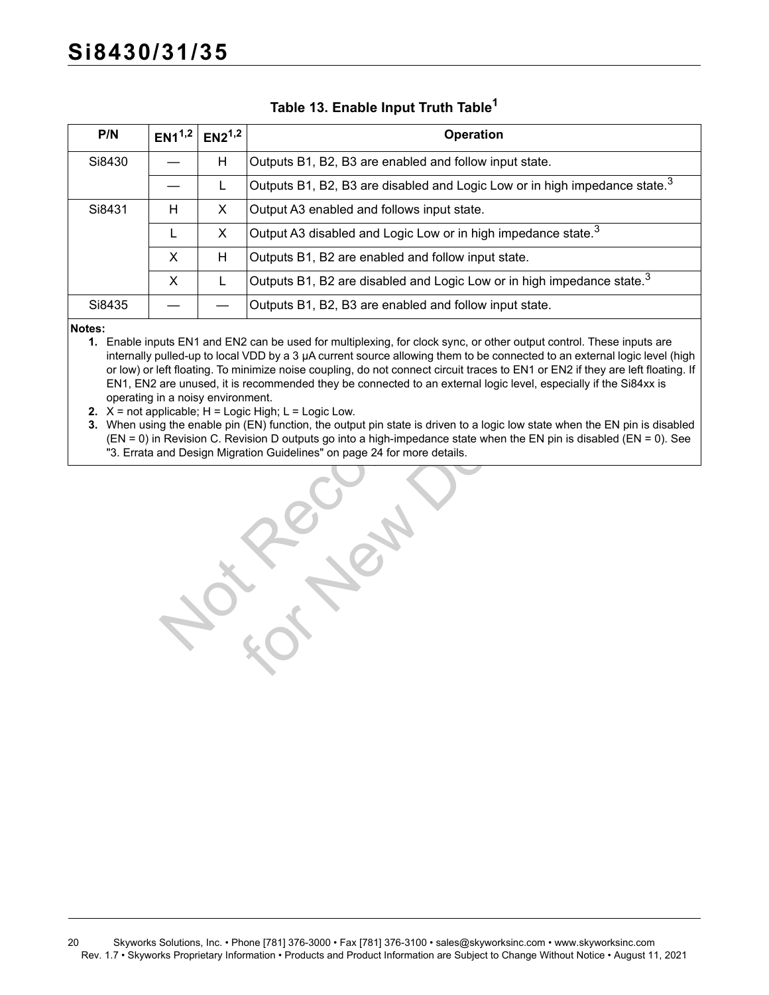# **Si8430/31/35**

<span id="page-19-0"></span>

| P/N    | $EN1^{1,2}$ | $EN2^{1,2}$ | <b>Operation</b>                                                                       |
|--------|-------------|-------------|----------------------------------------------------------------------------------------|
| Si8430 |             | Н           | Outputs B1, B2, B3 are enabled and follow input state.                                 |
|        |             |             | Outputs B1, B2, B3 are disabled and Logic Low or in high impedance state. <sup>3</sup> |
| Si8431 | Н           | X           | Output A3 enabled and follows input state.                                             |
|        |             | X           | Output A3 disabled and Logic Low or in high impedance state. $3$                       |
|        | X           | Н           | Outputs B1, B2 are enabled and follow input state.                                     |
|        | X           |             | Outputs B1, B2 are disabled and Logic Low or in high impedance state. <sup>3</sup>     |
| Si8435 |             |             | Outputs B1, B2, B3 are enabled and follow input state.                                 |

### **Table 13. Enable Input Truth Table[1](#page-19-1)**

#### <span id="page-19-1"></span>**Notes:**

- **1.** Enable inputs EN1 and EN2 can be used for multiplexing, for clock sync, or other output control. These inputs are internally pulled-up to local VDD by a 3 µA current source allowing them to be connected to an external logic level (high or low) or left floating. To minimize noise coupling, do not connect circuit traces to EN1 or EN2 if they are left floating. If EN1, EN2 are unused, it is recommended they be connected to an external logic level, especially if the Si84xx is operating in a noisy environment.
- <span id="page-19-2"></span>**2.**  $X = \text{not applicable; } H = \text{Logic High; } L = \text{Logic Low.}$
- <span id="page-19-3"></span>**3.** When using the enable pin (EN) function, the output pin state is driven to a logic low state when the EN pin is disabled (EN = 0) in Revision C. Revision D outputs go into a high-impedance state when the EN pin is disabled (EN = 0). See ["3. Errata and Design Migration Guidelines" on page 24](#page-23-0) for more details.

X H Outputs B1, B2 are enabled and follow input state.<br>
X L Outputs B1, B2 are disabled and Logic Low or in high im<br>  $-$  Outputs B1, B2 are disabled and follow input state.<br>
Us EN1 and EN2 can be used for multiplexing, fo IVDD by a 3 μA current source allowing for clock sync, or other output control. T<br>
IVDD by a 3 μA current source allowing them to be connected to an externationize noise coupling, do not connect circuit traces to EN1 or E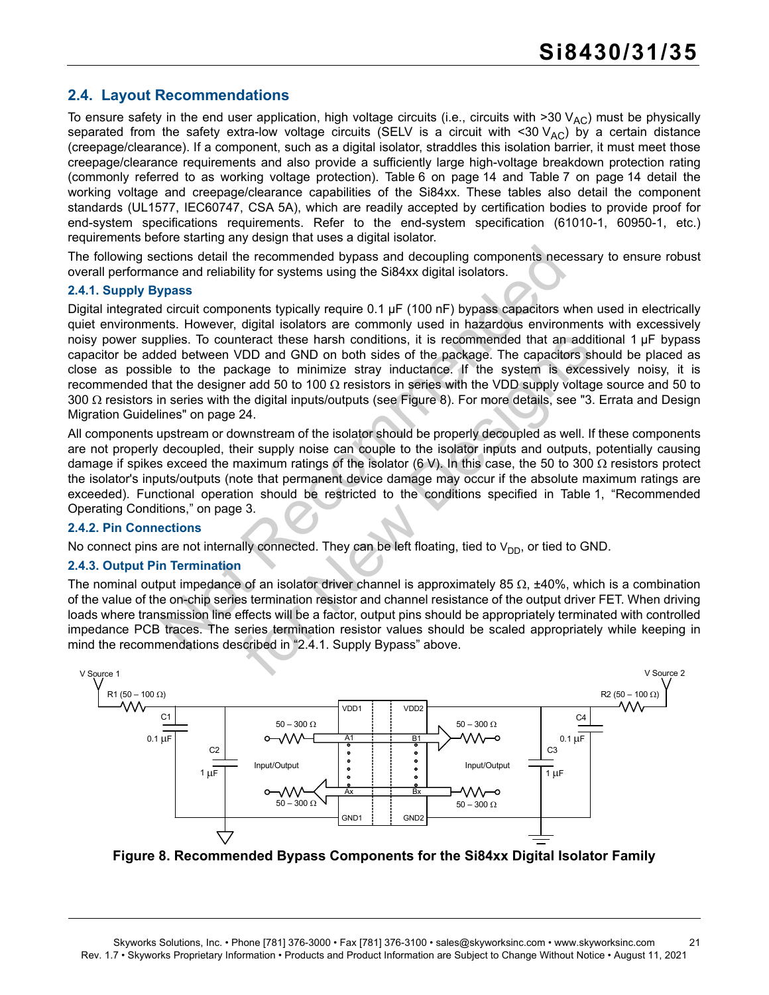## <span id="page-20-0"></span>**2.4. Layout Recommendations**

To ensure safety in the end user application, high voltage circuits (i.e., circuits with >30 V<sub>AC</sub>) must be physically separated from the safety extra-low voltage circuits (SELV is a circuit with <30  $V_{AC}$ ) by a certain distance (creepage/clearance). If a component, such as a digital isolator, straddles this isolation barrier, it must meet those creepage/clearance requirements and also provide a sufficiently large high-voltage breakdown protection rating (commonly referred to as working voltage protection). [Table 6 on page 14](#page-13-3) and [Table 7 on page 14](#page-13-4) detail the working voltage and creepage/clearance capabilities of the Si84xx. These tables also detail the component standards (UL1577, IEC60747, CSA 5A), which are readily accepted by certification bodies to provide proof for end-system specifications requirements. Refer to the end-system specification (61010-1, 60950-1, etc.) requirements before starting any design that uses a digital isolator.

The following sections detail the recommended bypass and decoupling components necessary to ensure robust overall performance and reliability for systems using the Si84xx digital isolators.

#### <span id="page-20-2"></span>**2.4.1. Supply Bypass**

critions detail the recom[me](#page-20-1)nded bypass and decoupling components nec<br>noce and reliability for systems using the Si84xx digital isolators.<br>Process critically require 0.1 μF (100 nF) bypass capacitors virtual<br>in direction Digital integrated circuit components typically require 0.1 µF (100 nF) bypass capacitors when used in electrically quiet environments. However, digital isolators are commonly used in hazardous environments with excessively noisy power supplies. To counteract these harsh conditions, it is recommended that an additional 1 µF bypass capacitor be added between VDD and GND on both sides of the package. The capacitors should be placed as close as possible to the package to minimize stray inductance. If the system is excessively noisy, it is recommended that the designer add 50 to 100  $\Omega$  resistors in series with the VDD supply voltage source and 50 to 300  $\Omega$  resistors in series with the digital inputs/outputs (see Figure 8). For more details, see ["3. Errata and Design](#page-23-0) [Migration Guidelines" on page 24](#page-23-0).

nteract these harsh conditions, it is recommended that an add<br>
VDD and GND on both sides of the package. The capacit[or](#page-20-2)s is<br>
ckage to minimize stray inductance. If the system is exceed<br>
per data 50 to 100  $\Omega$  resistors in All components upstream or downstream of the isolator should be properly decoupled as well. If these components are not properly decoupled, their supply noise can couple to the isolator inputs and outputs, potentially causing damage if spikes exceed the maximum ratings of the isolator (6 V). In this case, the 50 to 300  $\Omega$  resistors protect the isolator's inputs/outputs (note that permanent device damage may occur if the absolute maximum ratings are exceeded). Functional operation should be restricted to the conditions specified in [Table 1, "Recommended](#page-2-4) [Operating Conditions," on page 3](#page-2-4).

#### **2.4.2. Pin Connections**

No connect pins are not internally connected. They can be left floating, tied to  $V_{DD}$ , or tied to GND.

#### **2.4.3. Output Pin Termination**

The nominal output impedance of an isolator driver channel is approximately 85  $\Omega$ , ±40%, which is a combination of the value of the on-chip series termination resistor and channel resistance of the output driver FET. When driving loads where transmission line effects will be a factor, output pins should be appropriately terminated with controlled impedance PCB traces. The series termination resistor values should be scaled appropriately while keeping in mind the recommendations described in "2.4.1. Supply Bypass" above.



<span id="page-20-1"></span>**Figure 8. Recommended Bypass Components for the Si84xx Digital Isolator Family**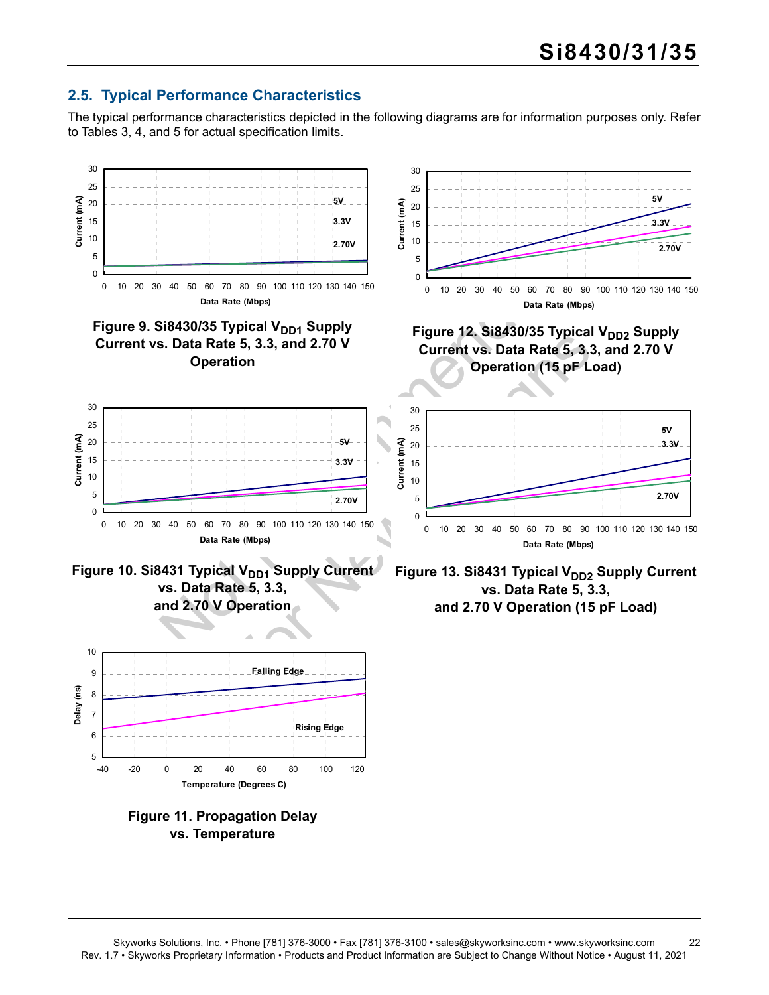## <span id="page-21-0"></span>**2.5. Typical Performance Characteristics**

The typical performance characteristics depicted in the following diagrams are for information purposes only. Refer to Tables [3](#page-3-4), [4](#page-7-4), and [5](#page-10-5) for actual specification limits.



Skyworks Solutions, Inc. • Phone [781] 376-3000 • Fax [781] 376-3100 • sales@skyworksinc.com • www.skyworksinc.com 22 Rev. 1.7 • Skyworks Proprietary Information • Products and Product Information are Subject to Change Without Notice • August 11, 2021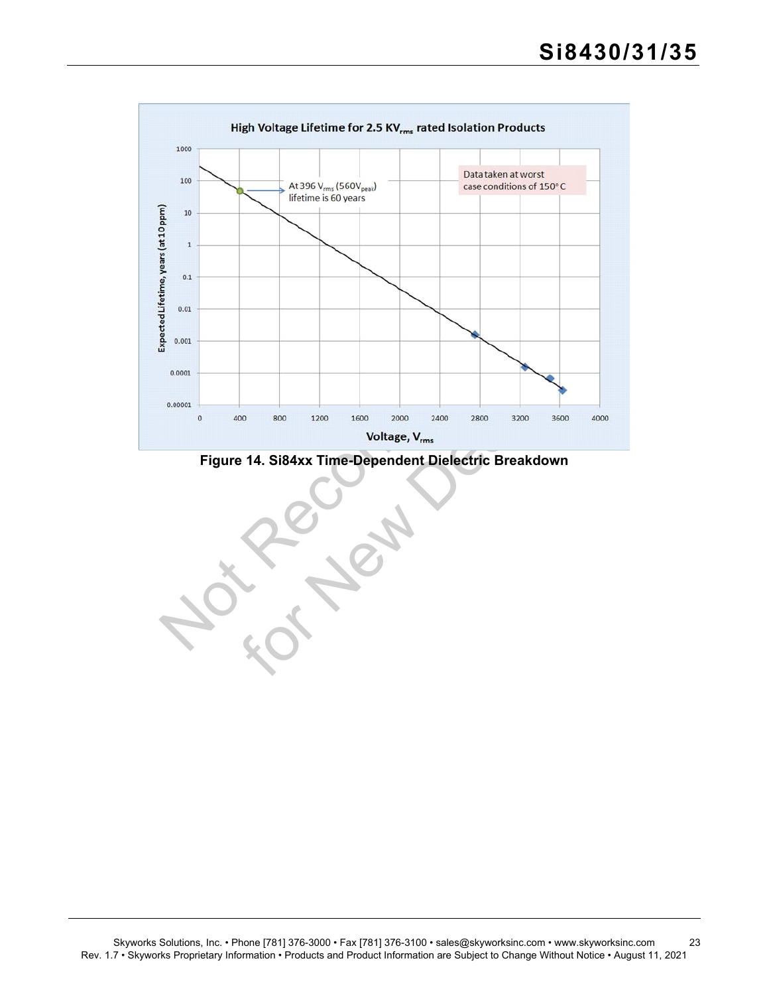

<span id="page-22-0"></span>**Figure 14. Si84xx Time-Dependent Dielectric Breakdown**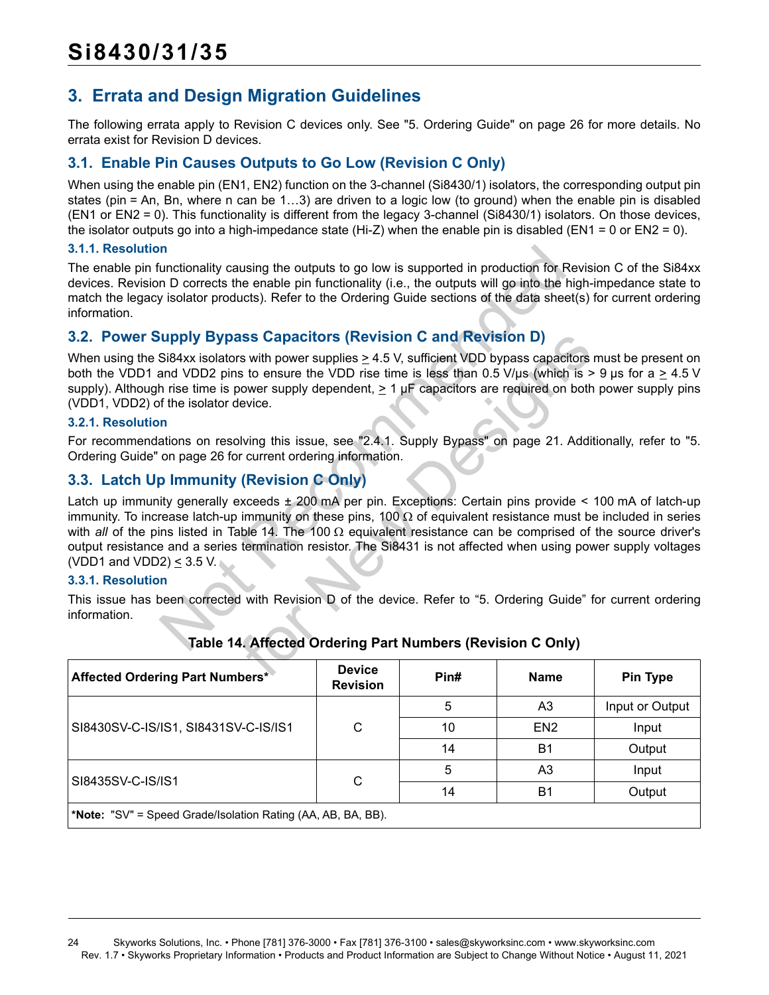## <span id="page-23-0"></span>**3. Errata and Design Migration Guidelines**

The following errata apply to Revision C devices only. See ["5. Ordering Guide" on page 26](#page-25-0) for more details. No errata exist for Revision D devices.

## <span id="page-23-1"></span>**3.1. Enable Pin Causes Outputs to Go Low (Revision C Only)**

When using the enable pin (EN1, EN2) function on the 3-channel (Si8430/1) isolators, the corresponding output pin states (pin = An, Bn, where n can be 1…3) are driven to a logic low (to ground) when the enable pin is disabled (EN1 or EN2 = 0). This functionality is different from the legacy 3-channel (Si8430/1) isolators. On those devices, the isolator outputs go into a high-impedance state (Hi-Z) when the enable pin is disabled (EN1 = 0 or EN2 = 0).

#### **3.1.1. Resolution**

The enable pin functionality causing the outputs to go low is supported in production for Revision C of the Si84xx devices. Revision D corrects the enable pin functionality (i.e., the outputs will go into the high-impedance state to match the legacy isolator products). Refer to the Ordering Guide sections of the data sheet(s) for current ordering information.

## <span id="page-23-2"></span>**3.2. Power Supply Bypass Capacitors (Revision C and Revision D)**

When using the Si84xx isolators with power supplies  $\geq 4.5$  V, sufficient VDD bypass capacitors must be present on both the VDD1 and VDD2 pins to ensure the VDD rise time is less than 0.5 V/us (which is > 9 us for a  $\geq$  4.5 V supply). Although rise time is power supply dependent,  $\geq 1$  µF capacitors are required on both power supply pins (VDD1, VDD2) of the isolator device.

#### **3.2.1. Resolution**

For recommendations on resolving this issue, see "2.4.1. Supply Bypass" on page 21. Additionally, refer to ["5.](#page-25-0) [Ordering Guide" on page 26](#page-25-0) for current ordering information.

## <span id="page-23-3"></span>**3.3. Latch Up Immunity (Revision C Only)**

n<br>
unctionality causing the outputs to go low is supported in production for F<br>
n D corrects the enable pin functionality (i.e., the outputs will go into the<br>
y isolator products). [R](#page-23-4)efer to the Ordering Guide sections of Solar Capacitors (Revision C and Revision D)<br>
Solar Simular Section Diversion Diversion Diversions to ensure the VDD rise time is less than 0.5 V/μs (which is ><br>
Solar Solar Simular Section 2.1 μF capacitors are required Latch up immunity generally exceeds ± 200 mA per pin. Exceptions: Certain pins provide < 100 mA of latch-up immunity. To increase latch-up immunity on these pins, 100  $\Omega$  of equivalent resistance must be included in series with *all* of the pins listed in Table 14. The 100  $\Omega$  equivalent resistance can be comprised of the source driver's output resistance and a series termination resistor. The Si8431 is not affected when using power supply voltages (VDD1 and VDD2)  $\leq$  3.5 V.

#### **3.3.1. Resolution**

This issue has been corrected with Revision D of the device. Refer to "5. Ordering Guide" for current ordering information.

<span id="page-23-4"></span>

| Affected Ordering Part Numbers*                              | <b>Device</b><br><b>Revision</b> | Pin# | <b>Name</b>     | <b>Pin Type</b> |  |  |  |
|--------------------------------------------------------------|----------------------------------|------|-----------------|-----------------|--|--|--|
|                                                              |                                  | 5    | A3              | Input or Output |  |  |  |
| SI8430SV-C-IS/IS1, SI8431SV-C-IS/IS1                         | C                                | 10   | EN <sub>2</sub> | Input           |  |  |  |
|                                                              |                                  | 14   | B1              | Output          |  |  |  |
| SI8435SV-C-IS/IS1                                            | C                                | 5    | A3              | Input           |  |  |  |
|                                                              |                                  | 14   | <b>B1</b>       | Output          |  |  |  |
| *Note: "SV" = Speed Grade/Isolation Rating (AA, AB, BA, BB). |                                  |      |                 |                 |  |  |  |

### **Table 14. Affected Ordering Part Numbers (Revision C Only)**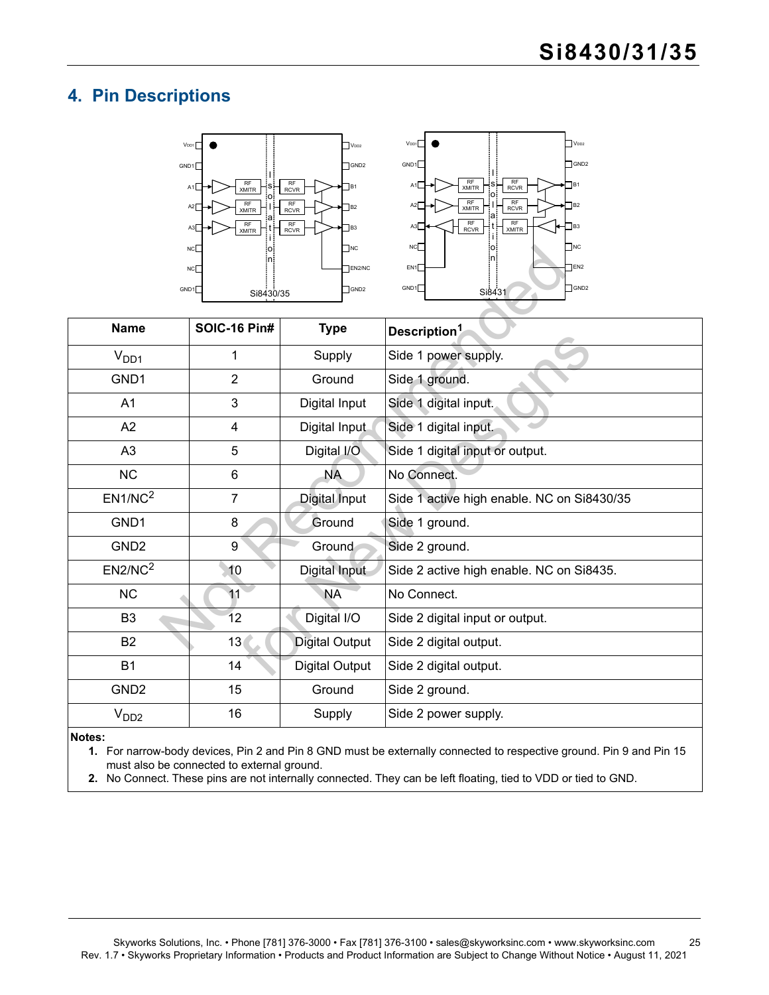## <span id="page-24-0"></span>**4. Pin Descriptions**





| GND1                | NC<br>NC<br>Si8430/35 | $\Box$ NC<br>EN2/NC<br>$\Box$ GND2 | NC<br>$\blacksquare$ NC<br> o <br> n <br><b>TEN2</b><br>EN1<br>$\Box$ GND2<br>GND1<br>Si8431 |  |  |  |  |  |
|---------------------|-----------------------|------------------------------------|----------------------------------------------------------------------------------------------|--|--|--|--|--|
| <b>Name</b>         | <b>SOIC-16 Pin#</b>   | <b>Type</b>                        | Description <sup>1</sup>                                                                     |  |  |  |  |  |
| V <sub>DD1</sub>    | 1                     | Supply                             | Side 1 power supply.                                                                         |  |  |  |  |  |
| GND1                | $\overline{2}$        | Ground                             | Side 1 ground.                                                                               |  |  |  |  |  |
| A <sub>1</sub>      | 3                     | Digital Input                      | Side 1 digital input.                                                                        |  |  |  |  |  |
| A2                  | $\overline{4}$        | Digital Input                      | Side 1 digital input.                                                                        |  |  |  |  |  |
| A <sub>3</sub>      | 5                     | Digital I/O                        | Side 1 digital input or output.                                                              |  |  |  |  |  |
| <b>NC</b>           | 6                     | <b>NA</b>                          | No Connect.                                                                                  |  |  |  |  |  |
| EN1/NC <sup>2</sup> | 7                     | Digital Input                      | Side 1 active high enable. NC on Si8430/35                                                   |  |  |  |  |  |
| GND1                | 8                     | Ground                             | Side 1 ground.                                                                               |  |  |  |  |  |
| GND <sub>2</sub>    | 9                     | Ground                             | Side 2 ground.                                                                               |  |  |  |  |  |
| EN2/NC <sup>2</sup> | 10                    | Digital Input                      | Side 2 active high enable. NC on Si8435.                                                     |  |  |  |  |  |
| <b>NC</b>           | 11                    | <b>NA</b>                          | No Connect.                                                                                  |  |  |  |  |  |
| B <sub>3</sub>      | 12                    | Digital I/O                        | Side 2 digital input or output.                                                              |  |  |  |  |  |
| <b>B2</b>           | 13 <sub>0</sub>       | <b>Digital Output</b>              | Side 2 digital output.                                                                       |  |  |  |  |  |
| <b>B1</b>           | 14                    | <b>Digital Output</b>              | Side 2 digital output.                                                                       |  |  |  |  |  |
| GND <sub>2</sub>    | 15                    | Ground                             | Side 2 ground.                                                                               |  |  |  |  |  |
| V <sub>DD2</sub>    | 16                    | Supply                             | Side 2 power supply.                                                                         |  |  |  |  |  |

#### <span id="page-24-1"></span>**Notes:**

**1.** For narrow-body devices, Pin 2 and Pin 8 GND must be externally connected to respective ground. Pin 9 and Pin 15 must also be connected to external ground.

<span id="page-24-2"></span>**2.** No Connect. These pins are not internally connected. They can be left floating, tied to VDD or tied to GND.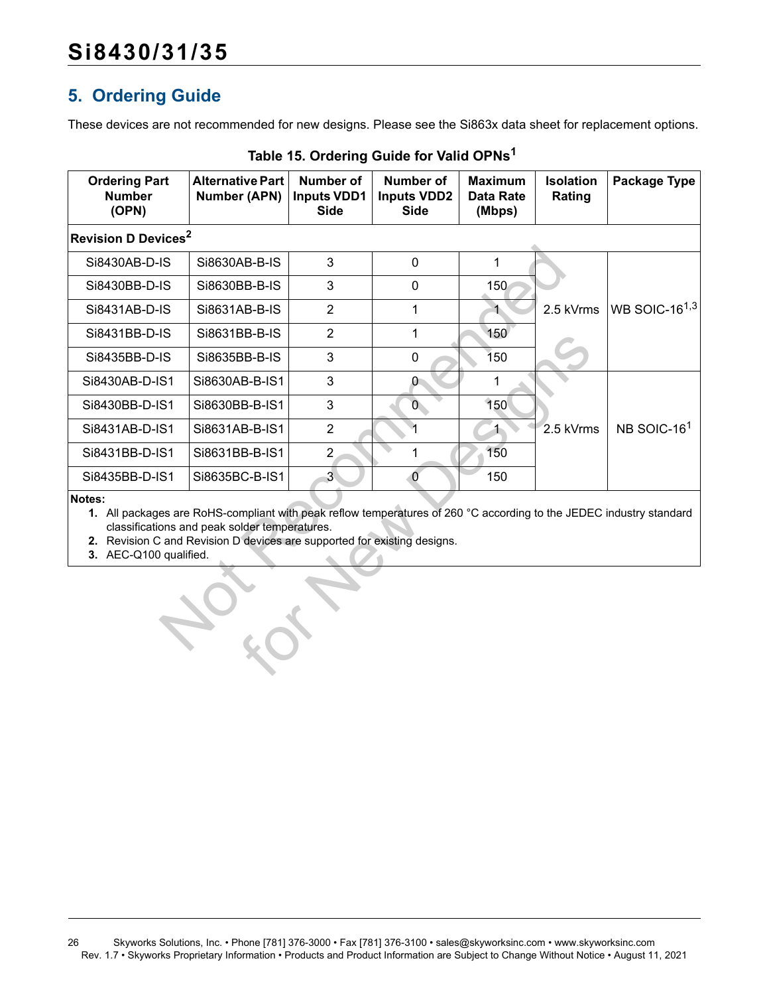## <span id="page-25-0"></span>**5. Ordering Guide**

These devices are not recommended for new designs. Please see the Si863x data sheet for replacement options.

<span id="page-25-3"></span><span id="page-25-2"></span><span id="page-25-1"></span>

| <b>Ordering Part</b><br><b>Number</b><br>(OPN)                                                                                                                                                                                                                                       | <b>Alternative Part</b><br><b>Number (APN)</b> | Number of<br><b>Inputs VDD1</b><br><b>Side</b> | Number of<br><b>Inputs VDD2</b><br><b>Side</b> | <b>Maximum</b><br><b>Data Rate</b><br>(Mbps) | <b>Isolation</b><br>Rating | Package Type              |  |  |
|--------------------------------------------------------------------------------------------------------------------------------------------------------------------------------------------------------------------------------------------------------------------------------------|------------------------------------------------|------------------------------------------------|------------------------------------------------|----------------------------------------------|----------------------------|---------------------------|--|--|
| <b>Revision D Devices<sup>2</sup></b>                                                                                                                                                                                                                                                |                                                |                                                |                                                |                                              |                            |                           |  |  |
| Si8430AB-D-IS                                                                                                                                                                                                                                                                        | Si8630AB-B-IS                                  | 3                                              | 0                                              | $\mathbf{1}$                                 |                            |                           |  |  |
| Si8430BB-D-IS                                                                                                                                                                                                                                                                        | Si8630BB-B-IS                                  | 3                                              | $\mathbf 0$                                    | 150                                          |                            |                           |  |  |
| Si8431AB-D-IS                                                                                                                                                                                                                                                                        | Si8631AB-B-IS                                  | $\overline{2}$                                 | 1                                              | $\blacktriangleleft$                         | 2.5 kVrms                  | WB SOIC-16 <sup>1,3</sup> |  |  |
| Si8431BB-D-IS                                                                                                                                                                                                                                                                        | Si8631BB-B-IS                                  | $\overline{2}$                                 | 1                                              | 150                                          |                            |                           |  |  |
| Si8435BB-D-IS                                                                                                                                                                                                                                                                        | Si8635BB-B-IS                                  | 3                                              | 0                                              | 150                                          |                            |                           |  |  |
| Si8430AB-D-IS1                                                                                                                                                                                                                                                                       | Si8630AB-B-IS1                                 | 3                                              | $\mathbf{0}$                                   |                                              |                            |                           |  |  |
| Si8430BB-D-IS1                                                                                                                                                                                                                                                                       | Si8630BB-B-IS1                                 | 3                                              | $\overline{0}$                                 | 150                                          |                            |                           |  |  |
| Si8431AB-D-IS1                                                                                                                                                                                                                                                                       | Si8631AB-B-IS1                                 | $\overline{2}$                                 | 1                                              | $\ddagger$                                   | 2.5 kVrms                  | NB SOIC-16 <sup>1</sup>   |  |  |
| Si8431BB-D-IS1                                                                                                                                                                                                                                                                       | Si8631BB-B-IS1                                 | $\overline{2}$                                 | 1                                              | 150                                          |                            |                           |  |  |
| Si8435BB-D-IS1                                                                                                                                                                                                                                                                       | Si8635BC-B-IS1                                 | 3 <sup>1</sup>                                 | $\overline{0}$                                 | 150                                          |                            |                           |  |  |
| Notes:<br>1. All packages are RoHS-compliant with peak reflow temperatures of 260 °C according to the JEDEC industry standard<br>classifications and peak solder temperatures.<br>2. Revision C and Revision D devices are supported for existing designs.<br>3. AEC-Q100 qualified. |                                                |                                                |                                                |                                              |                            |                           |  |  |
|                                                                                                                                                                                                                                                                                      |                                                |                                                |                                                |                                              |                            |                           |  |  |

### <span id="page-25-4"></span>**Table 15. Ordering Guide for Valid OPNs[1](#page-25-1)**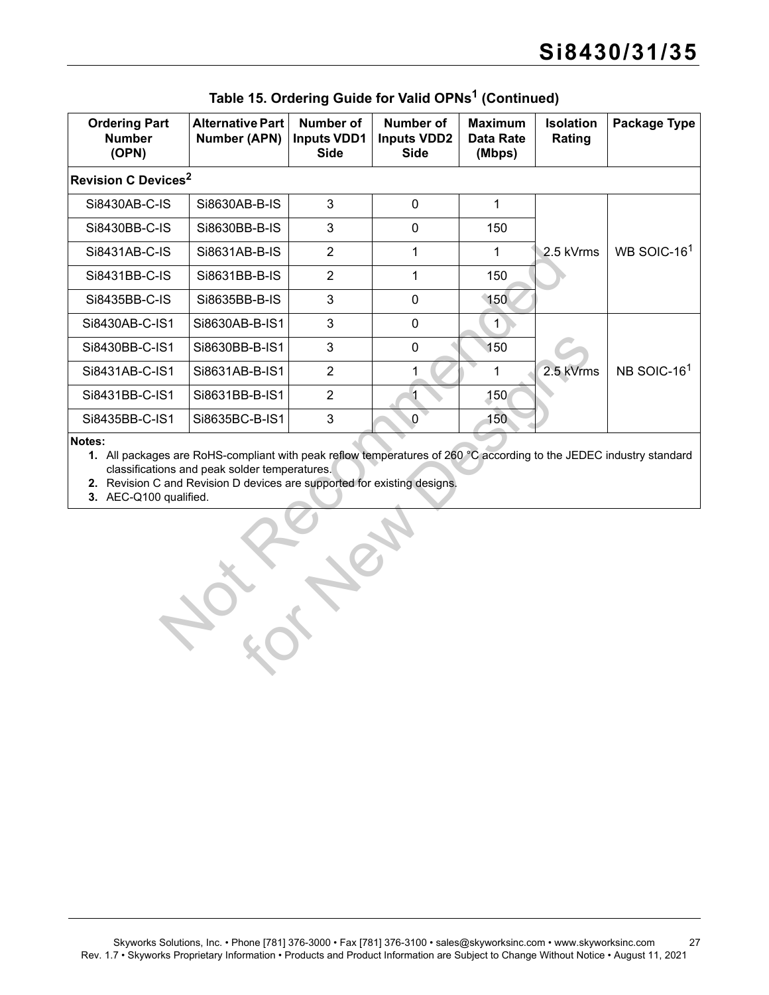| <b>Ordering Part</b><br><b>Number</b><br>(OPN) | <b>Alternative Part</b><br><b>Number (APN)</b>                                                                                                                                                                                                   | <b>Number of</b><br><b>Inputs VDD1</b><br><b>Side</b> | Number of<br><b>Inputs VDD2</b><br><b>Side</b> | <b>Maximum</b><br><b>Data Rate</b><br>(Mbps) | <b>Isolation</b><br>Rating | Package Type            |  |  |  |
|------------------------------------------------|--------------------------------------------------------------------------------------------------------------------------------------------------------------------------------------------------------------------------------------------------|-------------------------------------------------------|------------------------------------------------|----------------------------------------------|----------------------------|-------------------------|--|--|--|
| <b>Revision C Devices<sup>2</sup></b>          |                                                                                                                                                                                                                                                  |                                                       |                                                |                                              |                            |                         |  |  |  |
| Si8430AB-C-IS                                  | Si8630AB-B-IS                                                                                                                                                                                                                                    | 3                                                     | $\mathbf 0$                                    | $\mathbf{1}$                                 |                            |                         |  |  |  |
| Si8430BB-C-IS                                  | Si8630BB-B-IS                                                                                                                                                                                                                                    | 3                                                     | 0                                              | 150                                          |                            |                         |  |  |  |
| Si8431AB-C-IS                                  | Si8631AB-B-IS                                                                                                                                                                                                                                    | $\overline{2}$                                        | $\mathbf{1}$                                   | $\mathbf{1}$                                 | 2.5 kVrms                  | WB SOIC-16 $1$          |  |  |  |
| Si8431BB-C-IS                                  | Si8631BB-B-IS                                                                                                                                                                                                                                    | $\overline{2}$                                        | $\mathbf 1$                                    | 150                                          |                            |                         |  |  |  |
| Si8435BB-C-IS                                  | Si8635BB-B-IS                                                                                                                                                                                                                                    | 3                                                     | 0                                              | 150                                          |                            |                         |  |  |  |
| Si8430AB-C-IS1                                 | Si8630AB-B-IS1                                                                                                                                                                                                                                   | 3                                                     | 0                                              | $\mathbf{1}$                                 |                            |                         |  |  |  |
| Si8430BB-C-IS1                                 | Si8630BB-B-IS1                                                                                                                                                                                                                                   | 3                                                     | 0                                              | 150                                          |                            |                         |  |  |  |
| Si8431AB-C-IS1                                 | Si8631AB-B-IS1                                                                                                                                                                                                                                   | $\overline{2}$                                        | 1                                              | 1                                            | 2.5 kVrms                  | NB SOIC-16 <sup>1</sup> |  |  |  |
| Si8431BB-C-IS1                                 | Si8631BB-B-IS1                                                                                                                                                                                                                                   | $\overline{2}$                                        |                                                | 150                                          |                            |                         |  |  |  |
| Si8435BB-C-IS1                                 | Si8635BC-B-IS1                                                                                                                                                                                                                                   | $\mathbf{3}$                                          | $\mathbf 0$                                    | 150                                          |                            |                         |  |  |  |
| Notes:<br>3. AEC-Q100 qualified.               | 1. All packages are RoHS-compliant with peak reflow temperatures of 260 °C according to the JEDEC industry standard<br>classifications and peak solder temperatures.<br>2. Revision C and Revision D devices are supported for existing designs. |                                                       |                                                |                                              |                            |                         |  |  |  |
|                                                |                                                                                                                                                                                                                                                  |                                                       |                                                |                                              |                            |                         |  |  |  |

**Table 15. Ordering Guide for Valid OPNs1 (Continued)**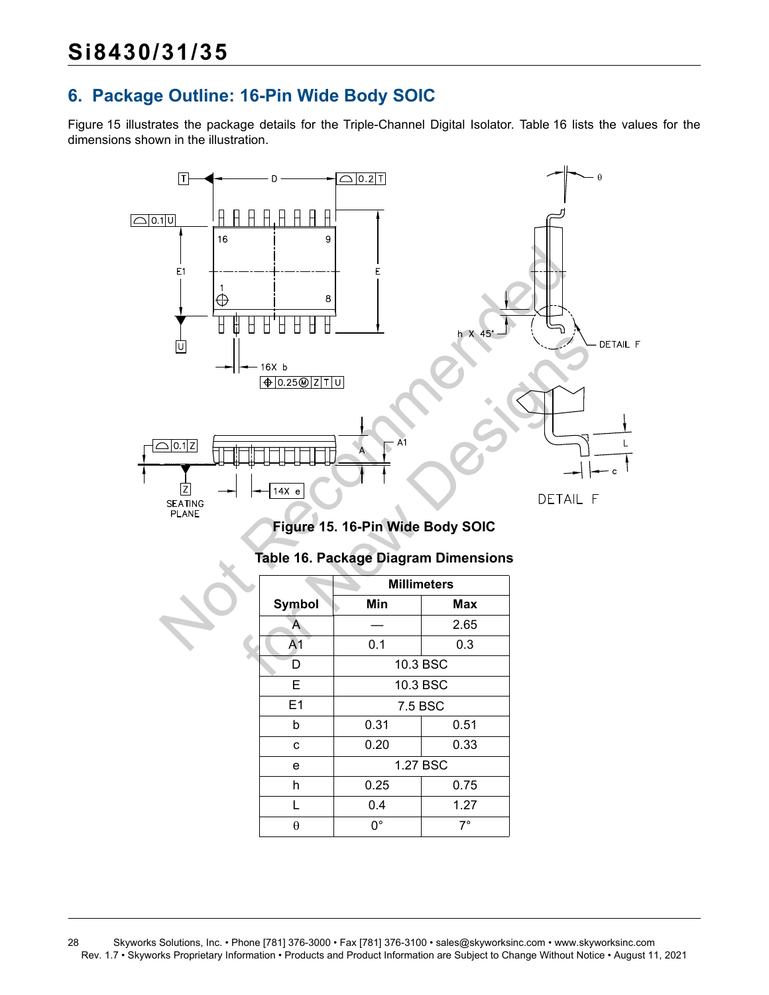## <span id="page-27-0"></span>**6. Package Outline: 16-Pin Wide Body SOIC**

[Figure 15](#page-27-1) illustrates the package details for the Triple-Channel Digital Isolator. [Table 16](#page-27-2) lists the values for the dimensions shown in the illustration.



<span id="page-27-2"></span><span id="page-27-1"></span>

|                | <b>Millimeters</b> |          |  |  |  |  |  |
|----------------|--------------------|----------|--|--|--|--|--|
| Symbol         | Min                | Max      |  |  |  |  |  |
| А              |                    | 2.65     |  |  |  |  |  |
| A <sub>1</sub> | 0.1                | 0.3      |  |  |  |  |  |
| D              |                    | 10.3 BSC |  |  |  |  |  |
| Е              |                    | 10.3 BSC |  |  |  |  |  |
| E1             | 7.5 BSC            |          |  |  |  |  |  |
| b              | 0.31               | 0.51     |  |  |  |  |  |
| C              | 0.20               | 0.33     |  |  |  |  |  |
| e              |                    | 1.27 BSC |  |  |  |  |  |
| h              | 0.25               | 0.75     |  |  |  |  |  |
| L              | 0.4                | 1.27     |  |  |  |  |  |
| θ              | n۰                 | 7°       |  |  |  |  |  |

### **Table 16. Package Diagram Dimensions**

<sup>28</sup> Skyworks Solutions, Inc. • Phone [781] 376-3000 • Fax [781] 376-3100 • sales@skyworksinc.com • www.skyworksinc.com Rev. 1.7 • Skyworks Proprietary Information • Products and Product Information are Subject to Change Without Notice • August 11, 2021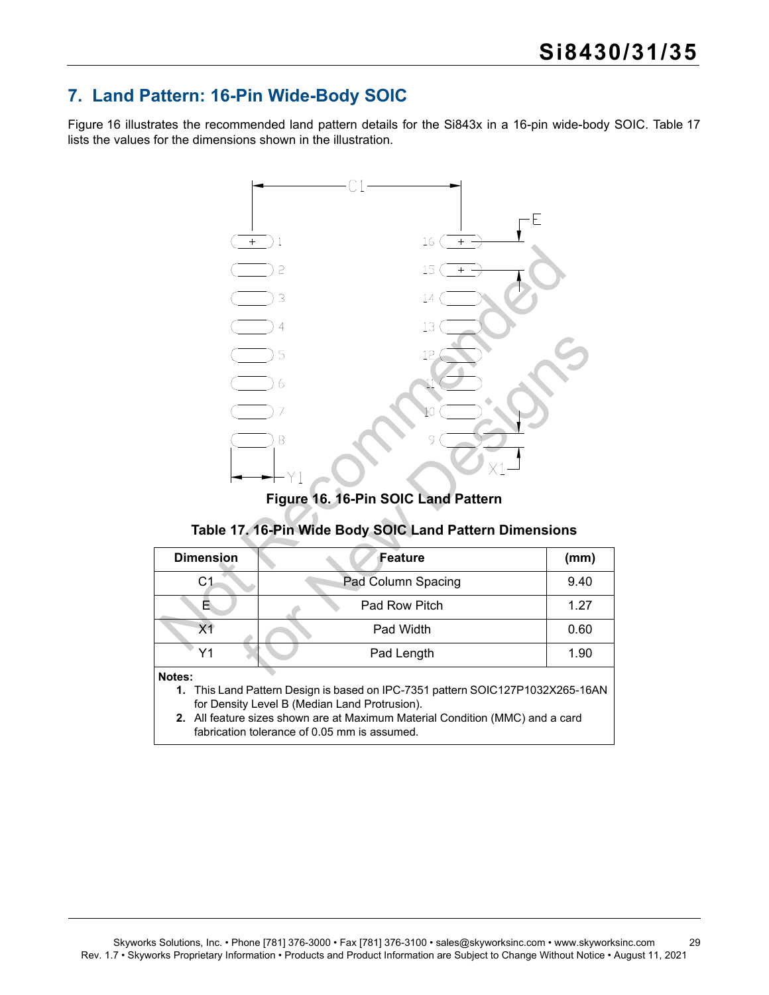## <span id="page-28-0"></span>**7. Land Pattern: 16-Pin Wide-Body SOIC**

[Figure 16](#page-28-1) illustrates the recommended land pattern details for the Si843x in a 16-pin wide-body SOIC. [Table 17](#page-28-2) lists the values for the dimensions shown in the illustration.



**Figure 16. 16-Pin SOIC Land Pattern**

## **Table 17. 16-Pin Wide Body SOIC Land Pattern Dimensions**

<span id="page-28-2"></span><span id="page-28-1"></span>

| <b>Dimension</b>                                                                                                                | Feature            | (mm) |
|---------------------------------------------------------------------------------------------------------------------------------|--------------------|------|
| С1                                                                                                                              | Pad Column Spacing | 9.40 |
| E                                                                                                                               | Pad Row Pitch      | 1.27 |
| Х1                                                                                                                              | Pad Width          | 0.60 |
| Υ1                                                                                                                              | Pad Length         | 1.90 |
| Notes:                                                                                                                          |                    |      |
| 1. This Land Pattern Design is based on IPC-7351 pattern SOIC127P1032X265-16AN<br>for Density Level B (Median Land Protrusion). |                    |      |
| 2. All feature sizes shown are at Maximum Material Condition (MMC) and a card<br>fabrication tolerance of 0.05 mm is assumed.   |                    |      |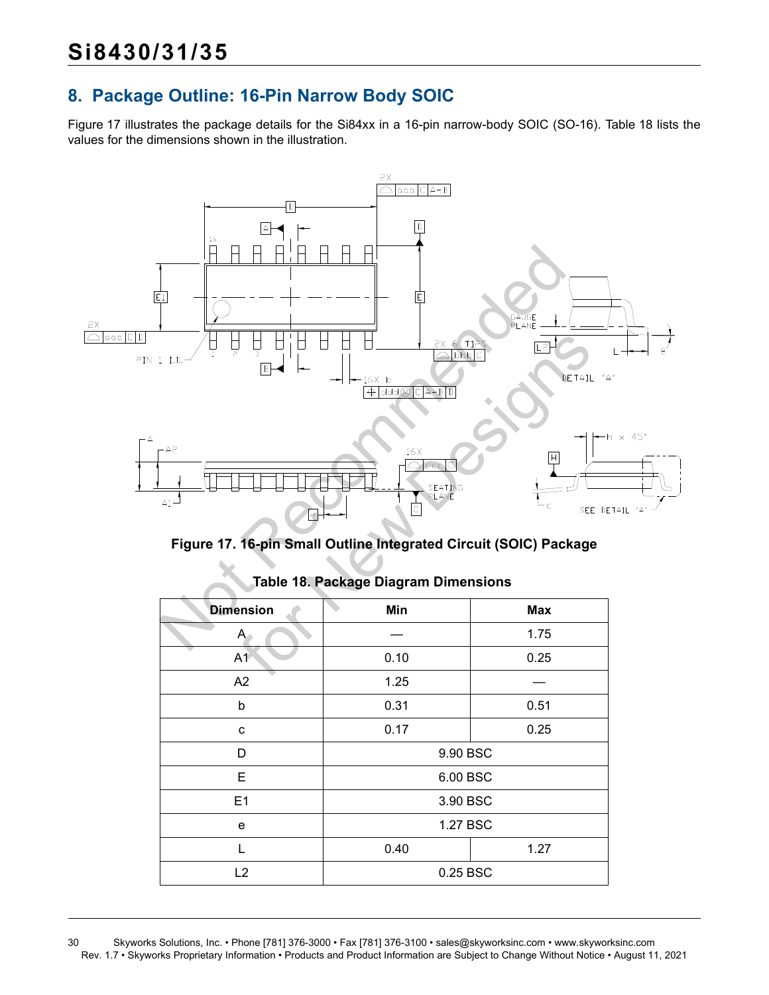## <span id="page-29-0"></span>**8. Package Outline: 16-Pin Narrow Body SOIC**

[Figure 17](#page-29-1) illustrates the package details for the Si84xx in a 16-pin narrow-body SOIC (SO-16). [Table 18](#page-29-2) lists the values for the dimensions shown in the illustration.



<span id="page-29-1"></span>**Figure 17. 16-pin Small Outline Integrated Circuit (SOIC) Package**

<span id="page-29-2"></span>

| <b>Dimension</b> | Min      | <b>Max</b> |  |
|------------------|----------|------------|--|
| $A -$            |          | 1.75       |  |
| A1               | 0.10     | 0.25       |  |
| A2               | 1.25     |            |  |
| b                | 0.31     | 0.51       |  |
| C                | 0.17     | 0.25       |  |
| D                | 9.90 BSC |            |  |
| E                | 6.00 BSC |            |  |
| E1               | 3.90 BSC |            |  |
| e                | 1.27 BSC |            |  |
| L                | 0.40     | 1.27       |  |
| L2               | 0.25 BSC |            |  |

### **Table 18. Package Diagram Dimensions**

30 Skyworks Solutions, Inc. • Phone [781] 376-3000 • Fax [781] 376-3100 • sales@skyworksinc.com • www.skyworksinc.com Rev. 1.7 • Skyworks Proprietary Information • Products and Product Information are Subject to Change Without Notice • August 11, 2021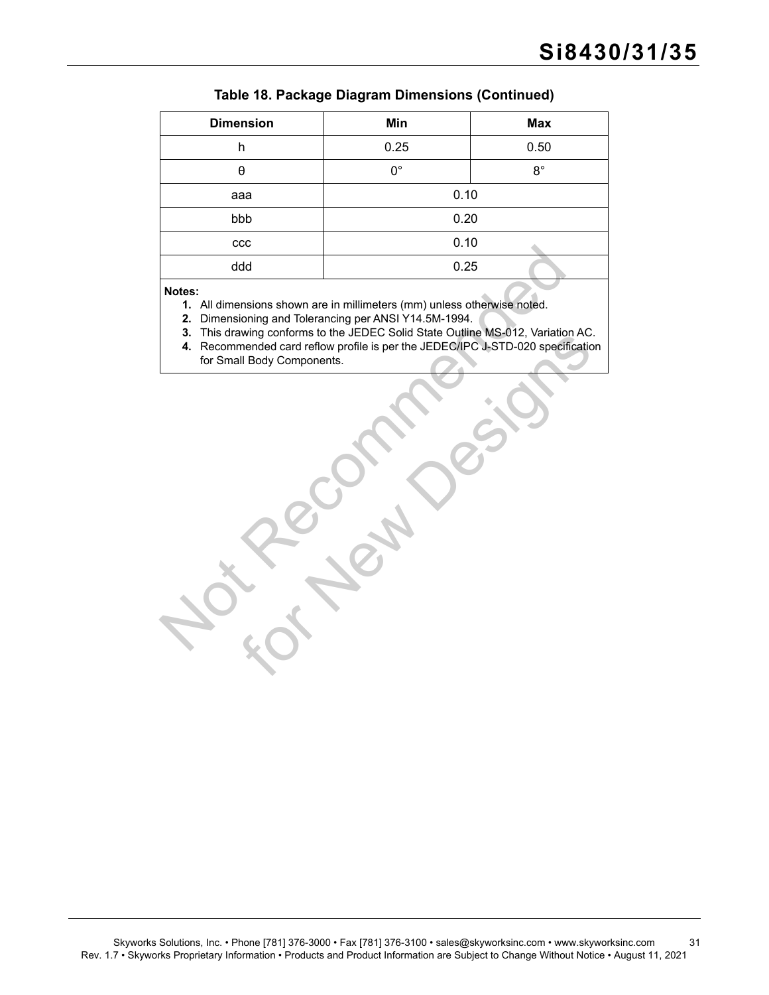| <b>Dimension</b>                                                                                                                                                                                                                                                                                                                                     | Min         | <b>Max</b>  |
|------------------------------------------------------------------------------------------------------------------------------------------------------------------------------------------------------------------------------------------------------------------------------------------------------------------------------------------------------|-------------|-------------|
| h                                                                                                                                                                                                                                                                                                                                                    | 0.25        | 0.50        |
| $\boldsymbol{\theta}$                                                                                                                                                                                                                                                                                                                                | $0^{\circ}$ | $8^{\circ}$ |
| aaa                                                                                                                                                                                                                                                                                                                                                  | 0.10        |             |
| bbb                                                                                                                                                                                                                                                                                                                                                  | 0.20        |             |
| ccc                                                                                                                                                                                                                                                                                                                                                  | 0.10        |             |
| ddd                                                                                                                                                                                                                                                                                                                                                  | 0.25        |             |
| Notes:<br>1. All dimensions shown are in millimeters (mm) unless otherwise noted.<br>Dimensioning and Tolerancing per ANSI Y14.5M-1994.<br>2.<br>This drawing conforms to the JEDEC Solid State Outline MS-012, Variation AC.<br>3.<br>4. Recommended card reflow profile is per the JEDEC/IPC J-STD-020 specification<br>for Small Body Components. |             |             |

#### **Table 18. Package Diagram Dimensions (Continued)**

Award Controllers to the JEDEC/IPC JSTD-020 specification<br>In Body Components.<br>Ill Body Components. **4.** Recommended card reflow profile is per the JEDEC/IPC J-STD-020 specification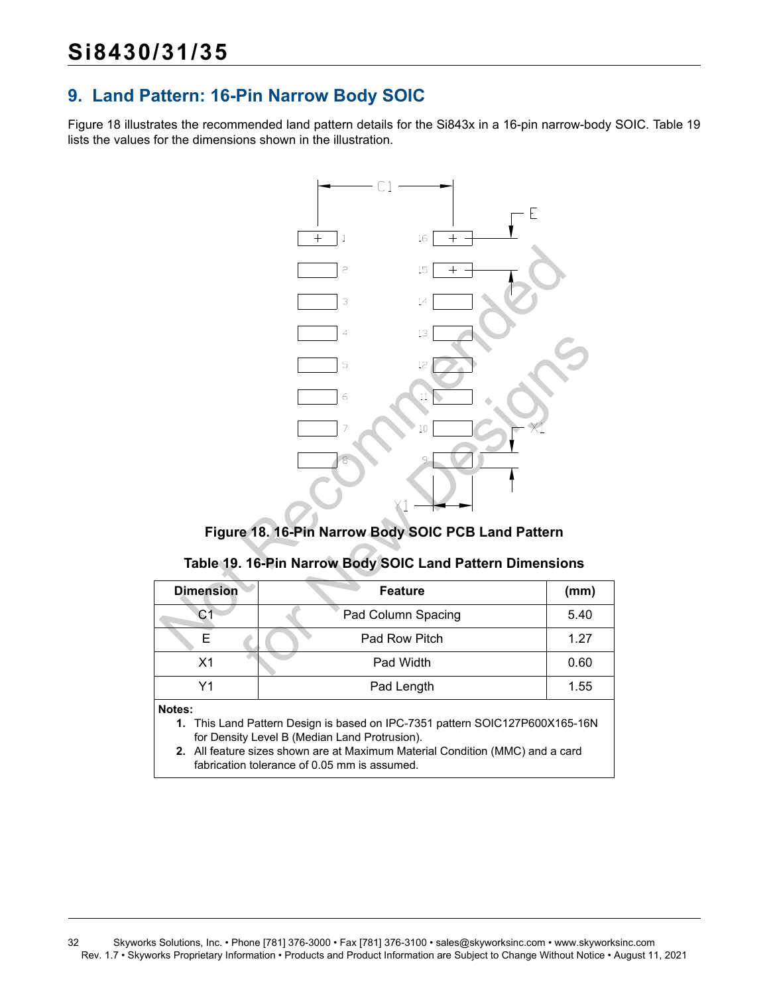## <span id="page-31-0"></span>**9. Land Pattern: 16-Pin Narrow Body SOIC**

[Figure 18](#page-31-1) illustrates the recommended land pattern details for the Si843x in a 16-pin narrow-body SOIC. [Table 19](#page-31-2) lists the values for the dimensions shown in the illustration.



### **Figure 18. 16-Pin Narrow Body SOIC PCB Land Pattern**

### **Table 19. 16-Pin Narrow Body SOIC Land Pattern Dimensions**

<span id="page-31-2"></span><span id="page-31-1"></span>

| <b>Dimension</b>                                                              | <b>Feature</b>     | (mm) |
|-------------------------------------------------------------------------------|--------------------|------|
| С1                                                                            | Pad Column Spacing | 5.40 |
| F                                                                             | Pad Row Pitch      | 1.27 |
| X <sub>1</sub>                                                                | Pad Width          | 0.60 |
| Υ1                                                                            | Pad Length         | 1.55 |
| Notes:                                                                        |                    |      |
| 1. This Land Pattern Design is based on IPC-7351 pattern SOIC127P600X165-16N  |                    |      |
| for Density Level B (Median Land Protrusion).                                 |                    |      |
| 2. All feature sizes shown are at Maximum Material Condition (MMC) and a card |                    |      |
| fabrication tolerance of 0.05 mm is assumed.                                  |                    |      |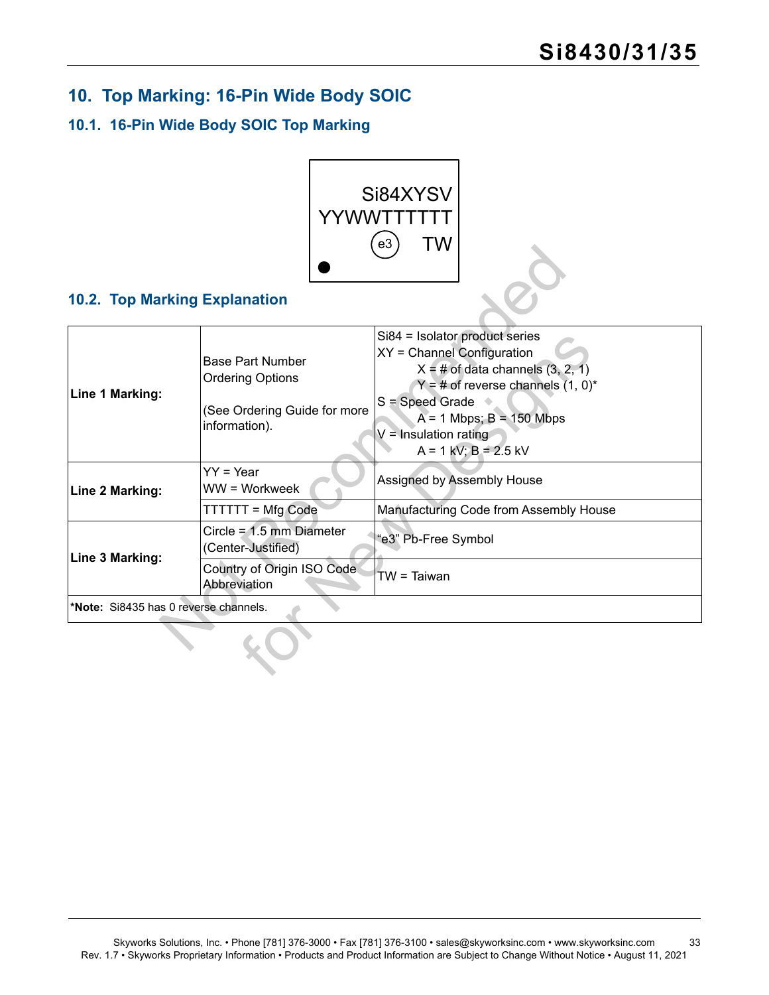## <span id="page-32-0"></span>**10. Top Marking: 16-Pin Wide Body SOIC**

## <span id="page-32-1"></span>**10.1. 16-Pin Wide Body SOIC Top Marking**



## <span id="page-32-2"></span>**10.2. Top Marking Explanation**

| <b>10.2. Top Marking Explanation</b>  |                                                                                                     | ဗပ<br>I V V                                                                                                                                                                                                                                              |
|---------------------------------------|-----------------------------------------------------------------------------------------------------|----------------------------------------------------------------------------------------------------------------------------------------------------------------------------------------------------------------------------------------------------------|
| Line 1 Marking:                       | <b>Base Part Number</b><br><b>Ordering Options</b><br>(See Ordering Guide for more<br>information). | Si84 = Isolator product series<br>XY = Channel Configuration<br>$X = #$ of data channels $(3, 2, 1)$<br>$Y = #$ of reverse channels $(1, 0)^*$<br>S = Speed Grade<br>$A = 1$ Mbps; $B = 150$ Mbps<br>$V =$ Insulation rating<br>$A = 1$ kV; $B = 2.5$ kV |
| Line 2 Marking:                       | $YY = Year$<br>WW = Workweek                                                                        | Assigned by Assembly House                                                                                                                                                                                                                               |
|                                       | <b>TTTTTT = Mfg Code</b>                                                                            | Manufacturing Code from Assembly House                                                                                                                                                                                                                   |
| Line 3 Marking:                       | Circle = $1.5$ mm Diameter<br>(Center-Justified)                                                    | "e3" Pb-Free Symbol                                                                                                                                                                                                                                      |
|                                       | Country of Origin ISO Code<br>Abbreviation                                                          | TW = Taiwan                                                                                                                                                                                                                                              |
| *Note: Si8435 has 0 reverse channels. |                                                                                                     |                                                                                                                                                                                                                                                          |
|                                       |                                                                                                     |                                                                                                                                                                                                                                                          |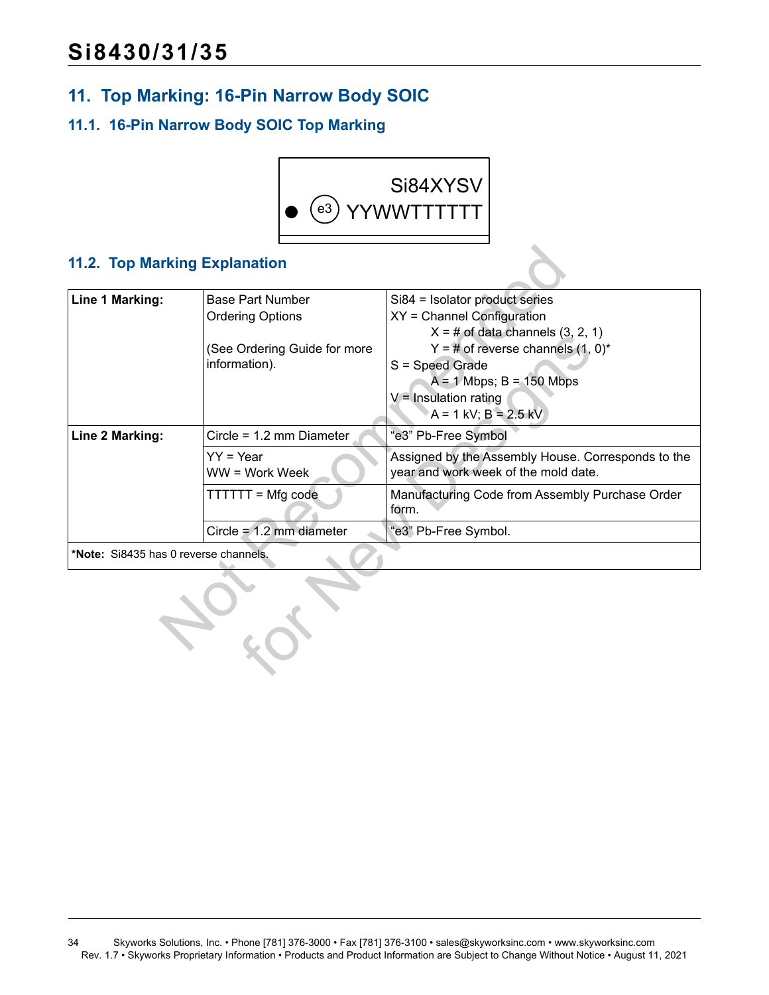## <span id="page-33-0"></span>**11. Top Marking: 16-Pin Narrow Body SOIC**

## <span id="page-33-1"></span>**11.1. 16-Pin Narrow Body SOIC Top Marking**



## <span id="page-33-2"></span>**11.2. Top Marking Explanation**

| <b>11.2. Top Marking Explanation</b>  |                                                                                                     |                                                                                                                                                                                                                                                        |
|---------------------------------------|-----------------------------------------------------------------------------------------------------|--------------------------------------------------------------------------------------------------------------------------------------------------------------------------------------------------------------------------------------------------------|
| <b>Line 1 Marking:</b>                | <b>Base Part Number</b><br><b>Ordering Options</b><br>(See Ordering Guide for more<br>information). | Si84 = Isolator product series<br>XY = Channel Configuration<br>$X = #$ of data channels $(3, 2, 1)$<br>$Y = #$ of reverse channels $(1, 0)^*$<br>S = Speed Grade<br>$A = 1$ Mbps; $B = 150$ Mbps<br>$V =$ Insulation rating<br>$A = 1$ kV; B = 2.5 kV |
| Line 2 Marking:                       | Circle = 1.2 mm Diameter<br>$YY = Year$<br>$WW = Work Week$                                         | "e3" Pb-Free Symbol<br>Assigned by the Assembly House. Corresponds to the<br>year and work week of the mold date.                                                                                                                                      |
|                                       | TTTTTT = Mfg code                                                                                   | Manufacturing Code from Assembly Purchase Order<br>form.                                                                                                                                                                                               |
|                                       | Circle = $1.2$ mm diameter                                                                          | "e3" Pb-Free Symbol.                                                                                                                                                                                                                                   |
| *Note: Si8435 has 0 reverse channels. |                                                                                                     |                                                                                                                                                                                                                                                        |
|                                       |                                                                                                     |                                                                                                                                                                                                                                                        |